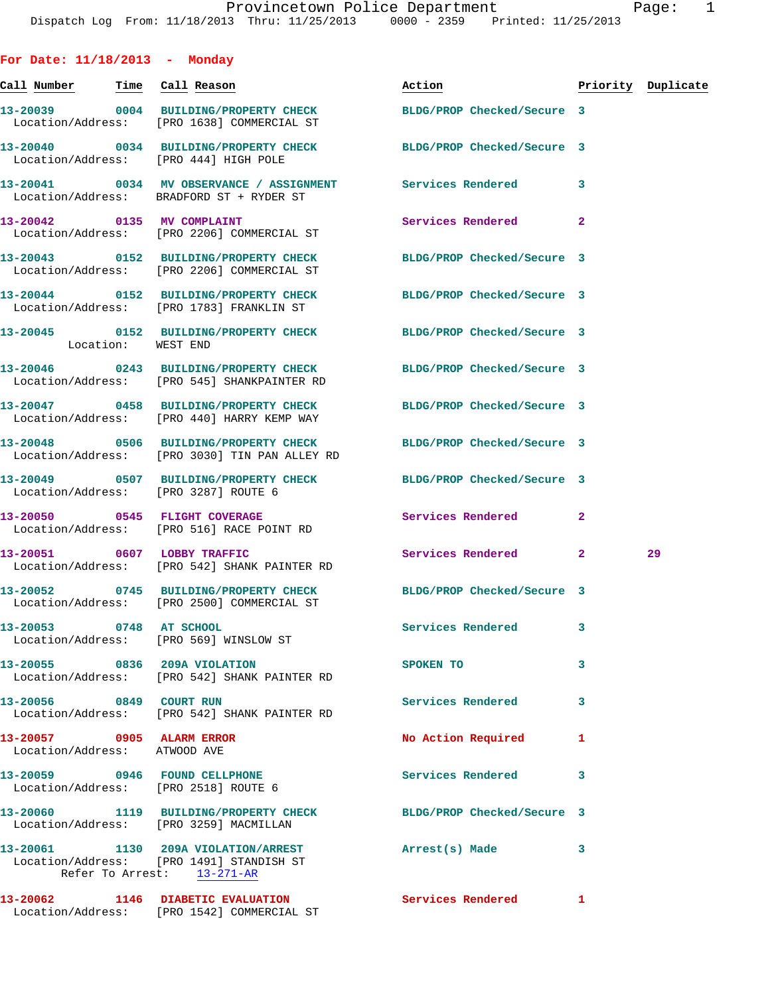| For Date: $11/18/2013$ - Monday                                       |                                                                                                                |                                  |              |    |
|-----------------------------------------------------------------------|----------------------------------------------------------------------------------------------------------------|----------------------------------|--------------|----|
| <u>Call Number — Time Call Reason</u>                                 |                                                                                                                | Action <b>Priority Duplicate</b> |              |    |
|                                                                       | 13-20039 0004 BUILDING/PROPERTY CHECK<br>Location/Address: [PRO 1638] COMMERCIAL ST                            | BLDG/PROP Checked/Secure 3       |              |    |
| Location/Address: [PRO 444] HIGH POLE                                 | 13-20040 0034 BUILDING/PROPERTY CHECK BLDG/PROP Checked/Secure 3                                               |                                  |              |    |
|                                                                       | 13-20041 0034 MV OBSERVANCE / ASSIGNMENT Services Rendered<br>Location/Address: BRADFORD ST + RYDER ST         |                                  | 3            |    |
|                                                                       | 13-20042 0135 MV COMPLAINT<br>Location/Address: [PRO 2206] COMMERCIAL ST                                       | Services Rendered 2              |              |    |
|                                                                       | 13-20043 0152 BUILDING/PROPERTY CHECK<br>Location/Address: [PRO 2206] COMMERCIAL ST                            | BLDG/PROP Checked/Secure 3       |              |    |
|                                                                       | 13-20044 0152 BUILDING/PROPERTY CHECK<br>Location/Address: [PRO 1783] FRANKLIN ST                              | BLDG/PROP Checked/Secure 3       |              |    |
| Location: WEST END                                                    | 13-20045 0152 BUILDING/PROPERTY CHECK BLDG/PROP Checked/Secure 3                                               |                                  |              |    |
|                                                                       | 13-20046 0243 BUILDING/PROPERTY CHECK<br>Location/Address: [PRO 545] SHANKPAINTER RD                           | BLDG/PROP Checked/Secure 3       |              |    |
|                                                                       | 13-20047 0458 BUILDING/PROPERTY CHECK BLDG/PROP Checked/Secure 3<br>Location/Address: [PRO 440] HARRY KEMP WAY |                                  |              |    |
|                                                                       | 13-20048 0506 BUILDING/PROPERTY CHECK<br>Location/Address: [PRO 3030] TIN PAN ALLEY RD                         | BLDG/PROP Checked/Secure 3       |              |    |
| Location/Address: [PRO 3287] ROUTE 6                                  | 13-20049 0507 BUILDING/PROPERTY CHECK BLDG/PROP Checked/Secure 3                                               |                                  |              |    |
|                                                                       | 13-20050 0545 FLIGHT COVERAGE<br>Location/Address: [PRO 516] RACE POINT RD                                     | Services Rendered                | $\mathbf{2}$ |    |
|                                                                       | 13-20051 0607 LOBBY TRAFFIC<br>Location/Address: [PRO 542] SHANK PAINTER RD                                    | Services Rendered 2              |              | 29 |
|                                                                       | 13-20052 0745 BUILDING/PROPERTY CHECK BLDG/PROP Checked/Secure 3<br>Location/Address: [PRO 2500] COMMERCIAL ST |                                  |              |    |
|                                                                       | 13-20053 0748 AT SCHOOL<br>Location/Address: [PRO 569] WINSLOW ST                                              | <b>Services Rendered</b>         | 3            |    |
| 13-20055 0836 209A VIOLATION                                          | Location/Address: [PRO 542] SHANK PAINTER RD                                                                   | SPOKEN TO                        | 3            |    |
| 13-20056 0849 COURT RUN                                               | Location/Address: [PRO 542] SHANK PAINTER RD                                                                   | <b>Services Rendered</b>         | 3            |    |
| 13-20057 0905 ALARM ERROR<br>Location/Address: ATWOOD AVE             |                                                                                                                | No Action Required               | 1            |    |
| 13-20059 0946 FOUND CELLPHONE<br>Location/Address: [PRO 2518] ROUTE 6 |                                                                                                                | <b>Services Rendered</b>         | 3            |    |
|                                                                       | 13-20060 1119 BUILDING/PROPERTY CHECK<br>Location/Address: [PRO 3259] MACMILLAN                                | BLDG/PROP Checked/Secure 3       |              |    |
|                                                                       | 13-20061 1130 209A VIOLATION/ARREST<br>Location/Address: [PRO 1491] STANDISH ST<br>Refer To Arrest: 13-271-AR  | Arrest(s) Made                   | 3            |    |

**13-20062 1146 DIABETIC EVALUATION Services Rendered 1**  Location/Address: [PRO 1542] COMMERCIAL ST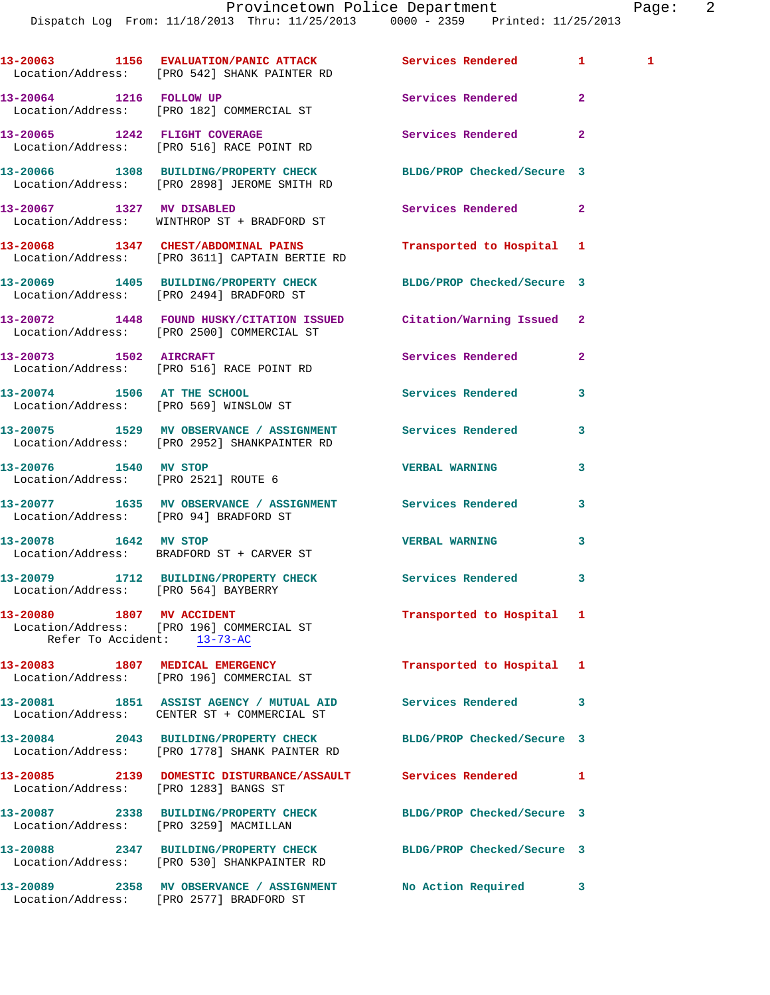|                                       | 13-20063 1156 EVALUATION/PANIC ATTACK Services Rendered<br>Location/Address: [PRO 542] SHANK PAINTER RD           |                            | $\mathbf{1}$ and $\mathbf{1}$ | $\mathbf{1}$ |
|---------------------------------------|-------------------------------------------------------------------------------------------------------------------|----------------------------|-------------------------------|--------------|
| 13-20064 1216 FOLLOW UP               | Location/Address: [PRO 182] COMMERCIAL ST                                                                         | <b>Services Rendered</b>   | $\overline{2}$                |              |
|                                       | 13-20065 1242 FLIGHT COVERAGE<br>Location/Address: [PRO 516] RACE POINT RD                                        | Services Rendered          | $\mathbf{2}$                  |              |
|                                       | 13-20066 1308 BUILDING/PROPERTY CHECK<br>Location/Address: [PRO 2898] JEROME SMITH RD                             | BLDG/PROP Checked/Secure 3 |                               |              |
| 13-20067 1327 MV DISABLED             | Location/Address: WINTHROP ST + BRADFORD ST                                                                       | Services Rendered          | $\mathbf{2}$                  |              |
|                                       | 13-20068 1347 CHEST/ABDOMINAL PAINS<br>Location/Address: [PRO 3611] CAPTAIN BERTIE RD                             | Transported to Hospital 1  |                               |              |
|                                       | 13-20069 1405 BUILDING/PROPERTY CHECK BLDG/PROP Checked/Secure 3<br>Location/Address: [PRO 2494] BRADFORD ST      |                            |                               |              |
|                                       | 13-20072 1448 FOUND HUSKY/CITATION ISSUED Citation/Warning Issued 2<br>Location/Address: [PRO 2500] COMMERCIAL ST |                            |                               |              |
|                                       | 13-20073 1502 AIRCRAFT<br>Location/Address: [PRO 516] RACE POINT RD                                               | <b>Services Rendered</b>   | $\mathbf{2}$                  |              |
| 13-20074 1506 AT THE SCHOOL           | Location/Address: [PRO 569] WINSLOW ST                                                                            | <b>Services Rendered</b>   | 3                             |              |
|                                       | 13-20075 1529 MV OBSERVANCE / ASSIGNMENT Services Rendered<br>Location/Address: [PRO 2952] SHANKPAINTER RD        |                            | 3                             |              |
| 13-20076 1540 MV STOP                 | Location/Address: [PRO 2521] ROUTE 6                                                                              | <b>VERBAL WARNING</b>      | 3                             |              |
|                                       | 13-20077 1635 MV OBSERVANCE / ASSIGNMENT Services Rendered<br>Location/Address: [PRO 94] BRADFORD ST              |                            | 3                             |              |
| 13-20078 1642 MV STOP                 | Location/Address: BRADFORD ST + CARVER ST                                                                         | <b>VERBAL WARNING</b>      | 3                             |              |
| Location/Address: [PRO 564] BAYBERRY  | 13-20079 1712 BUILDING/PROPERTY CHECK Services Rendered                                                           |                            | 3                             |              |
| 13-20080 1807 MV ACCIDENT             | Location/Address: [PRO 196] COMMERCIAL ST<br>Refer To Accident: 13-73-AC                                          | Transported to Hospital 1  |                               |              |
|                                       | 13-20083 1807 MEDICAL EMERGENCY<br>Location/Address: [PRO 196] COMMERCIAL ST                                      | Transported to Hospital    | 1                             |              |
|                                       | 13-20081 1851 ASSIST AGENCY / MUTUAL AID<br>Location/Address: CENTER ST + COMMERCIAL ST                           | <b>Services Rendered</b>   | 3                             |              |
|                                       | 13-20084 2043 BUILDING/PROPERTY CHECK<br>Location/Address: [PRO 1778] SHANK PAINTER RD                            | BLDG/PROP Checked/Secure 3 |                               |              |
| Location/Address: [PRO 1283] BANGS ST | 13-20085 2139 DOMESTIC DISTURBANCE/ASSAULT Services Rendered                                                      |                            | 1                             |              |
|                                       | 13-20087 2338 BUILDING/PROPERTY CHECK<br>Location/Address: [PRO 3259] MACMILLAN                                   | BLDG/PROP Checked/Secure 3 |                               |              |
|                                       | 13-20088 2347 BUILDING/PROPERTY CHECK<br>Location/Address: [PRO 530] SHANKPAINTER RD                              | BLDG/PROP Checked/Secure 3 |                               |              |
|                                       | 13-20089 2358 MV OBSERVANCE / ASSIGNMENT<br>Location/Address: [PRO 2577] BRADFORD ST                              | No Action Required         | $\mathbf{3}$                  |              |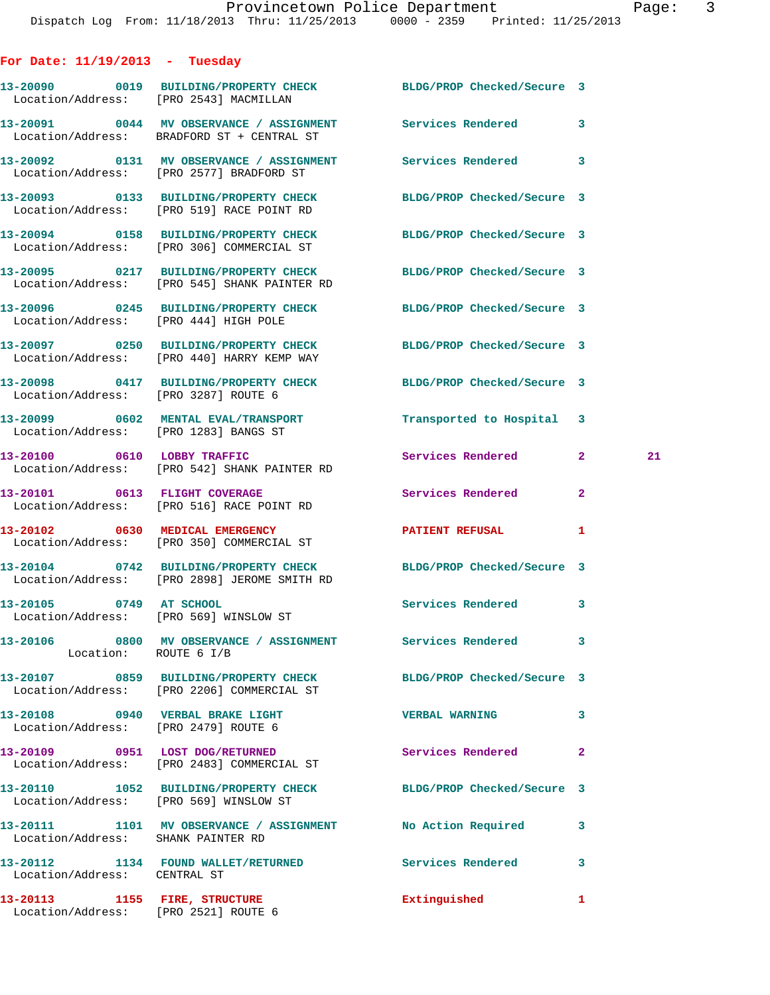## **For Date: 11/19/2013 - Tuesday**

| Location/Address: [PRO 2543] MACMILLAN                                   | 13-20090 0019 BUILDING/PROPERTY CHECK                                                                            | BLDG/PROP Checked/Secure 3 |              |    |
|--------------------------------------------------------------------------|------------------------------------------------------------------------------------------------------------------|----------------------------|--------------|----|
|                                                                          | 13-20091 0044 MV OBSERVANCE / ASSIGNMENT Services Rendered<br>Location/Address: BRADFORD ST + CENTRAL ST         |                            | 3            |    |
|                                                                          | 13-20092 0131 MV OBSERVANCE / ASSIGNMENT Services Rendered<br>Location/Address: [PRO 2577] BRADFORD ST           |                            | 3            |    |
|                                                                          | 13-20093 0133 BUILDING/PROPERTY CHECK<br>Location/Address: [PRO 519] RACE POINT RD                               | BLDG/PROP Checked/Secure 3 |              |    |
|                                                                          | 13-20094 0158 BUILDING/PROPERTY CHECK BLDG/PROP Checked/Secure 3<br>Location/Address: [PRO 306] COMMERCIAL ST    |                            |              |    |
|                                                                          | 13-20095 0217 BUILDING/PROPERTY CHECK BLDG/PROP Checked/Secure 3<br>Location/Address: [PRO 545] SHANK PAINTER RD |                            |              |    |
| Location/Address: [PRO 444] HIGH POLE                                    | 13-20096 0245 BUILDING/PROPERTY CHECK BLDG/PROP Checked/Secure 3                                                 |                            |              |    |
|                                                                          | 13-20097 0250 BUILDING/PROPERTY CHECK BLDG/PROP Checked/Secure 3<br>Location/Address: [PRO 440] HARRY KEMP WAY   |                            |              |    |
| Location/Address: [PRO 3287] ROUTE 6                                     | 13-20098 0417 BUILDING/PROPERTY CHECK BLDG/PROP Checked/Secure 3                                                 |                            |              |    |
| Location/Address: [PRO 1283] BANGS ST                                    | 13-20099 0602 MENTAL EVAL/TRANSPORT                                                                              | Transported to Hospital 3  |              |    |
|                                                                          | 13-20100 0610 LOBBY TRAFFIC<br>Location/Address: [PRO 542] SHANK PAINTER RD                                      | Services Rendered          | $\mathbf{2}$ | 21 |
| 13-20101 0613 FLIGHT COVERAGE                                            | Location/Address: [PRO 516] RACE POINT RD                                                                        | Services Rendered          | $\mathbf{2}$ |    |
|                                                                          | 13-20102 0630 MEDICAL EMERGENCY<br>Location/Address: [PRO 350] COMMERCIAL ST                                     | PATIENT REFUSAL            | 1            |    |
|                                                                          | 13-20104 0742 BUILDING/PROPERTY CHECK BLDG/PROP Checked/Secure 3<br>Location/Address: [PRO 2898] JEROME SMITH RD |                            |              |    |
| 13-20105 0749 AT SCHOOL<br>Location/Address: [PRO 569] WINSLOW ST        |                                                                                                                  | Services Rendered 3        |              |    |
| Location: ROUTE 6 I/B                                                    | 13-20106 6800 MV OBSERVANCE / ASSIGNMENT Services Rendered 3                                                     |                            |              |    |
|                                                                          | 13-20107 0859 BUILDING/PROPERTY CHECK<br>Location/Address: [PRO 2206] COMMERCIAL ST                              | BLDG/PROP Checked/Secure 3 |              |    |
| 13-20108 0940 VERBAL BRAKE LIGHT<br>Location/Address: [PRO 2479] ROUTE 6 |                                                                                                                  | <b>VERBAL WARNING</b>      | 3            |    |
|                                                                          | 13-20109 0951 LOST DOG/RETURNED<br>Location/Address: [PRO 2483] COMMERCIAL ST                                    | Services Rendered          | $\mathbf{2}$ |    |
| Location/Address: [PRO 569] WINSLOW ST                                   | 13-20110 1052 BUILDING/PROPERTY CHECK BLDG/PROP Checked/Secure 3                                                 |                            |              |    |
| Location/Address: SHANK PAINTER RD                                       | 13-20111 1101 MV OBSERVANCE / ASSIGNMENT No Action Required                                                      |                            | 3            |    |
| Location/Address: CENTRAL ST                                             | 13-20112 1134 FOUND WALLET/RETURNED Services Rendered                                                            |                            | 3            |    |
| 13-20113 1155 FIRE, STRUCTURE<br>Location/Address: [PRO 2521] ROUTE 6    |                                                                                                                  | Extinguished               | 1            |    |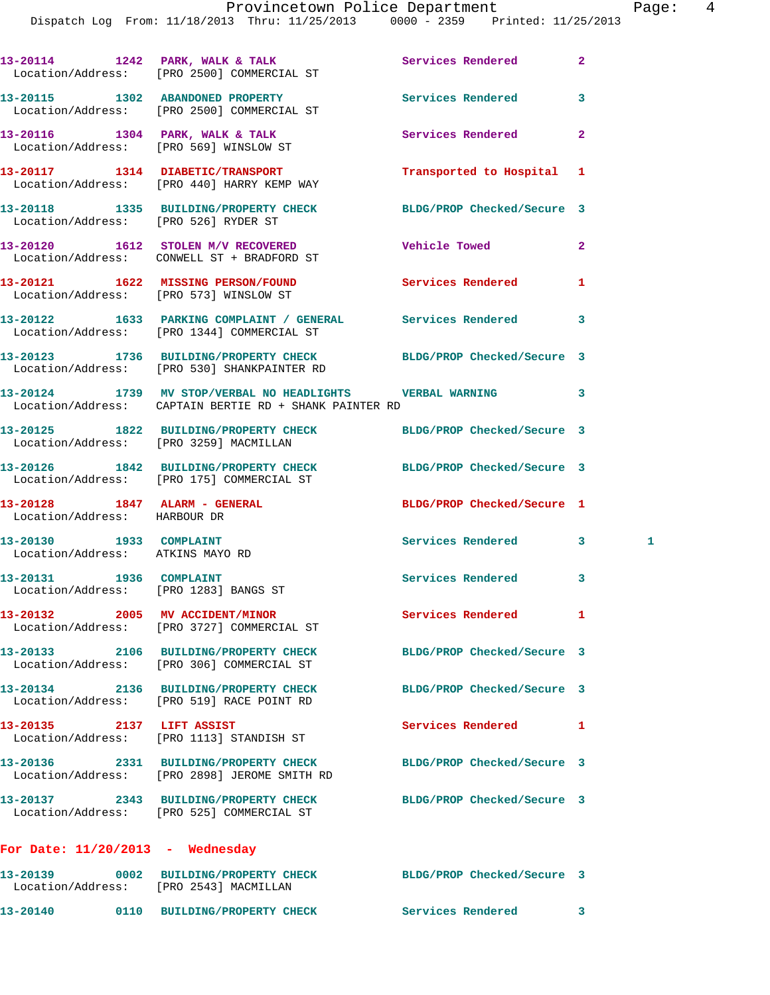|                                                                 | 13-20114 1242 PARK, WALK & TALK<br>Location/Address: [PRO 2500] COMMERCIAL ST                                       | Services Rendered          | $\overline{2}$ |   |
|-----------------------------------------------------------------|---------------------------------------------------------------------------------------------------------------------|----------------------------|----------------|---|
|                                                                 | 13-20115 1302 ABANDONED PROPERTY<br>Location/Address: [PRO 2500] COMMERCIAL ST                                      | <b>Services Rendered</b>   | 3              |   |
|                                                                 | 13-20116 1304 PARK, WALK & TALK<br>Location/Address: [PRO 569] WINSLOW ST                                           | Services Rendered          | $\overline{2}$ |   |
|                                                                 | 13-20117 1314 DIABETIC/TRANSPORT<br>Location/Address: [PRO 440] HARRY KEMP WAY                                      | Transported to Hospital 1  |                |   |
|                                                                 | 13-20118 1335 BUILDING/PROPERTY CHECK<br>Location/Address: [PRO 526] RYDER ST                                       | BLDG/PROP Checked/Secure 3 |                |   |
|                                                                 | 13-20120 1612 STOLEN M/V RECOVERED<br>Location/Address: CONWELL ST + BRADFORD ST                                    | <b>Vehicle Towed State</b> | $\overline{a}$ |   |
|                                                                 | 13-20121 1622 MISSING PERSON/FOUND<br>Location/Address: [PRO 573] WINSLOW ST                                        | <b>Services Rendered</b>   | 1              |   |
|                                                                 | 13-20122 1633 PARKING COMPLAINT / GENERAL<br>Location/Address: [PRO 1344] COMMERCIAL ST                             | <b>Services Rendered</b>   | 3              |   |
|                                                                 | 13-20123 1736 BUILDING/PROPERTY CHECK<br>Location/Address: [PRO 530] SHANKPAINTER RD                                | BLDG/PROP Checked/Secure 3 |                |   |
|                                                                 | 13-20124 1739 MV STOP/VERBAL NO HEADLIGHTS VERBAL WARNING<br>Location/Address: CAPTAIN BERTIE RD + SHANK PAINTER RD |                            | 3              |   |
|                                                                 | 13-20125 1822 BUILDING/PROPERTY CHECK BLDG/PROP Checked/Secure 3<br>Location/Address: [PRO 3259] MACMILLAN          |                            |                |   |
|                                                                 | 13-20126 1842 BUILDING/PROPERTY CHECK<br>Location/Address: [PRO 175] COMMERCIAL ST                                  | BLDG/PROP Checked/Secure 3 |                |   |
| Location/Address: HARBOUR DR                                    | 13-20128 1847 ALARM - GENERAL                                                                                       | BLDG/PROP Checked/Secure 1 |                |   |
| 13-20130   1933   COMPLAINT<br>Location/Address: ATKINS MAYO RD |                                                                                                                     | <b>Services Rendered</b>   | 3              | 1 |
|                                                                 | 13-20131 1936 COMPLAINT<br>Location/Address: [PRO 1283] BANGS ST                                                    | Services Rendered          | 3              |   |
|                                                                 | 13-20132 2005 MV ACCIDENT/MINOR<br>Location/Address: [PRO 3727] COMMERCIAL ST                                       | Services Rendered          | ı.             |   |
|                                                                 | 13-20133 2106 BUILDING/PROPERTY CHECK<br>Location/Address: [PRO 306] COMMERCIAL ST                                  | BLDG/PROP Checked/Secure 3 |                |   |
|                                                                 | 13-20134 2136 BUILDING/PROPERTY CHECK<br>Location/Address: [PRO 519] RACE POINT RD                                  | BLDG/PROP Checked/Secure 3 |                |   |
| 13-20135 2137 LIFT ASSIST                                       | Location/Address: [PRO 1113] STANDISH ST                                                                            | <b>Services Rendered</b>   | 1              |   |
|                                                                 | 13-20136 2331 BUILDING/PROPERTY CHECK<br>Location/Address: [PRO 2898] JEROME SMITH RD                               | BLDG/PROP Checked/Secure 3 |                |   |
|                                                                 | 13-20137 2343 BUILDING/PROPERTY CHECK<br>Location/Address: [PRO 525] COMMERCIAL ST                                  | BLDG/PROP Checked/Secure 3 |                |   |
| For Date: $11/20/2013$ - Wednesday                              |                                                                                                                     |                            |                |   |
|                                                                 | 13-20139 0002 BUILDING/PROPERTY CHECK<br>Location/Address: [PRO 2543] MACMILLAN                                     | BLDG/PROP Checked/Secure 3 |                |   |
|                                                                 | 13-20140   0110 BUILDING/PROPERTY CHECK                                                                             | Services Rendered          | 3              |   |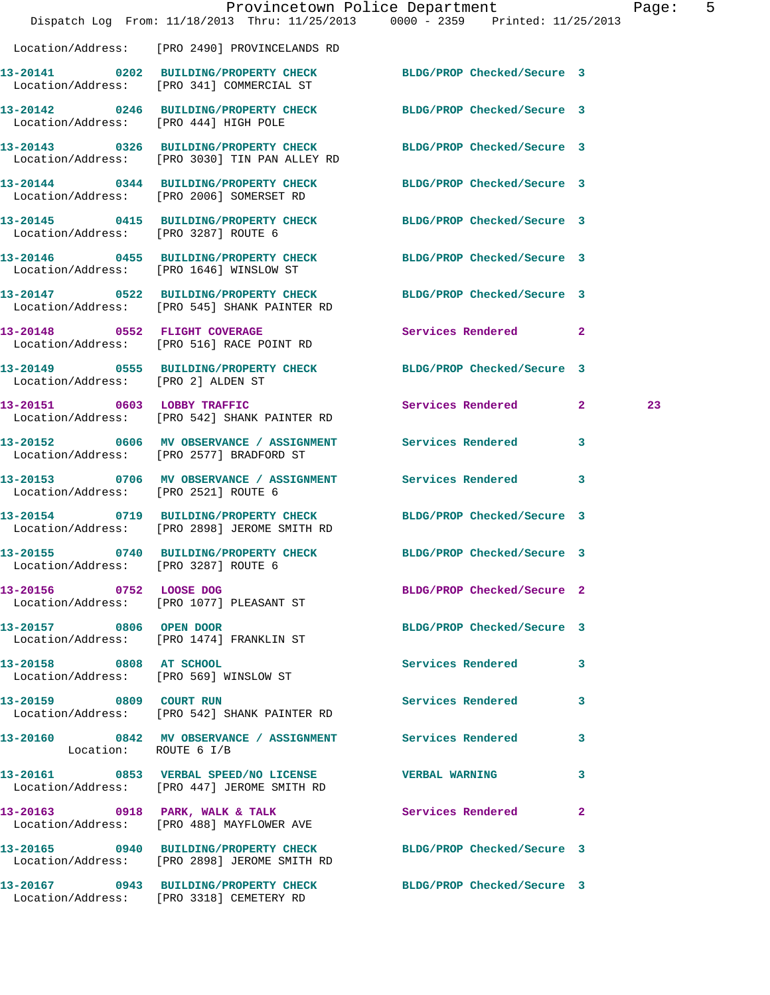|                                       |                                                                                                                   | Provincetown Police Department                                                 | 5<br>Page: |
|---------------------------------------|-------------------------------------------------------------------------------------------------------------------|--------------------------------------------------------------------------------|------------|
|                                       |                                                                                                                   | Dispatch Log From: 11/18/2013 Thru: 11/25/2013 0000 - 2359 Printed: 11/25/2013 |            |
|                                       | Location/Address: [PRO 2490] PROVINCELANDS RD                                                                     |                                                                                |            |
|                                       | 13-20141 0202 BUILDING/PROPERTY CHECK BLDG/PROP Checked/Secure 3<br>Location/Address: [PRO 341] COMMERCIAL ST     |                                                                                |            |
| Location/Address: [PRO 444] HIGH POLE | 13-20142 0246 BUILDING/PROPERTY CHECK BLDG/PROP Checked/Secure 3                                                  |                                                                                |            |
|                                       | 13-20143 0326 BUILDING/PROPERTY CHECK BLDG/PROP Checked/Secure 3<br>Location/Address: [PRO 3030] TIN PAN ALLEY RD |                                                                                |            |
|                                       | 13-20144 0344 BUILDING/PROPERTY CHECK BLDG/PROP Checked/Secure 3<br>Location/Address: [PRO 2006] SOMERSET RD      |                                                                                |            |
| Location/Address: [PRO 3287] ROUTE 6  | 13-20145 0415 BUILDING/PROPERTY CHECK BLDG/PROP Checked/Secure 3                                                  |                                                                                |            |
|                                       | 13-20146 0455 BUILDING/PROPERTY CHECK<br>Location/Address: [PRO 1646] WINSLOW ST                                  | BLDG/PROP Checked/Secure 3                                                     |            |
|                                       | 13-20147 0522 BUILDING/PROPERTY CHECK BLDG/PROP Checked/Secure 3<br>Location/Address: [PRO 545] SHANK PAINTER RD  |                                                                                |            |
|                                       | 13-20148 0552 FLIGHT COVERAGE<br>Location/Address: [PRO 516] RACE POINT RD                                        | Services Rendered 2                                                            |            |
| Location/Address: [PRO 2] ALDEN ST    | 13-20149 0555 BUILDING/PROPERTY CHECK BLDG/PROP Checked/Secure 3                                                  |                                                                                |            |
|                                       | 13-20151 0603 LOBBY TRAFFIC<br>Location/Address: [PRO 542] SHANK PAINTER RD                                       | Services Rendered 2                                                            | 23         |
|                                       | 13-20152 0606 MV OBSERVANCE / ASSIGNMENT Services Rendered<br>Location/Address: [PRO 2577] BRADFORD ST            | $\mathbf{3}$                                                                   |            |
| Location/Address: [PRO 2521] ROUTE 6  | 13-20153 0706 MV OBSERVANCE / ASSIGNMENT Services Rendered 3                                                      |                                                                                |            |
|                                       | 13-20154 0719 BUILDING/PROPERTY CHECK<br>Location/Address: [PRO 2898] JEROME SMITH RD                             | BLDG/PROP Checked/Secure 3                                                     |            |
| Location/Address: [PRO 3287] ROUTE 6  | 13-20155 0740 BUILDING/PROPERTY CHECK BLDG/PROP Checked/Secure 3                                                  |                                                                                |            |
| 13-20156 0752 LOOSE DOG               | Location/Address: [PRO 1077] PLEASANT ST                                                                          | BLDG/PROP Checked/Secure 2                                                     |            |
|                                       | 13-20157 0806 OPEN DOOR<br>Location/Address: [PRO 1474] FRANKLIN ST                                               | BLDG/PROP Checked/Secure 3                                                     |            |
| 13-20158 0808 AT SCHOOL               | Location/Address: [PRO 569] WINSLOW ST                                                                            | Services Rendered 3                                                            |            |
|                                       | 13-20159 0809 COURT RUN<br>Location/Address: [PRO 542] SHANK PAINTER RD                                           | Services Rendered 3                                                            |            |
| Location: ROUTE 6 I/B                 | 13-20160 0842 MV OBSERVANCE / ASSIGNMENT Services Rendered 3                                                      |                                                                                |            |
|                                       | 13-20161 0853 VERBAL SPEED/NO LICENSE VERBAL WARNING<br>Location/Address: [PRO 447] JEROME SMITH RD               | 3                                                                              |            |
|                                       | 13-20163 0918 PARK, WALK & TALK<br>Location/Address: [PRO 488] MAYFLOWER AVE                                      | Services Rendered<br>$\mathbf{2}$                                              |            |
|                                       | 13-20165 0940 BUILDING/PROPERTY CHECK BLDG/PROP Checked/Secure 3<br>Location/Address: [PRO 2898] JEROME SMITH RD  |                                                                                |            |
|                                       | 13-20167 0943 BUILDING/PROPERTY CHECK BLDG/PROP Checked/Secure 3<br>Location/Address: [PRO 3318] CEMETERY RD      |                                                                                |            |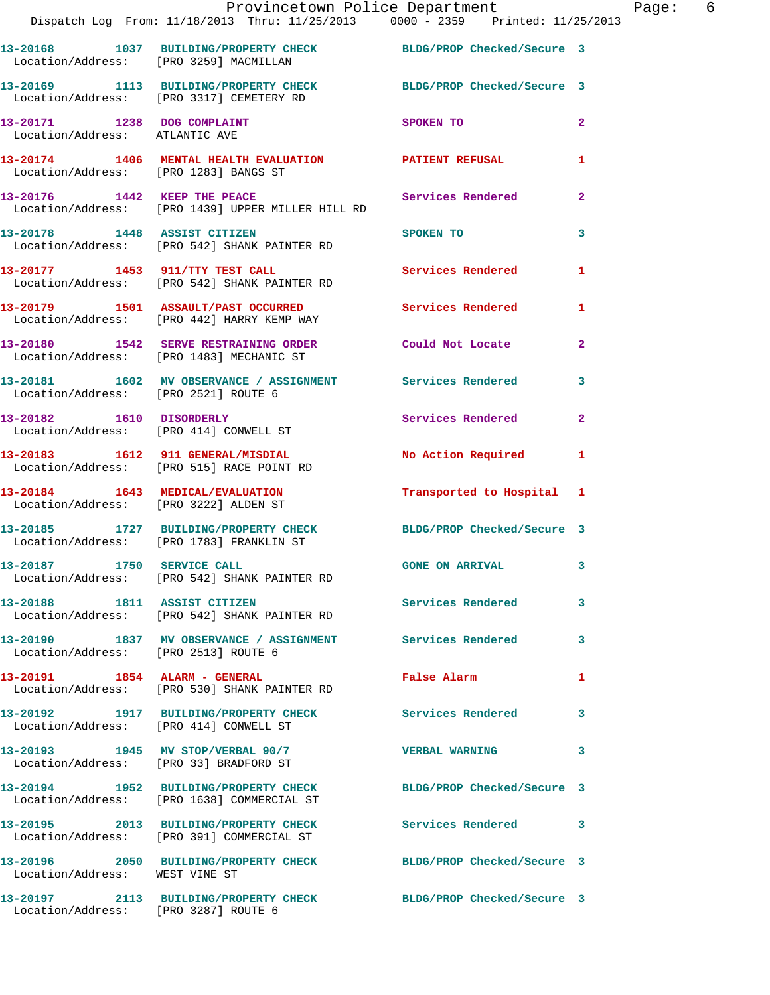|                                                               | Provincetown Police Department<br>Dispatch Log From: 11/18/2013 Thru: 11/25/2013 0000 - 2359 Printed: 11/25/2013 |                            |                |
|---------------------------------------------------------------|------------------------------------------------------------------------------------------------------------------|----------------------------|----------------|
|                                                               | 13-20168 1037 BUILDING/PROPERTY CHECK BLDG/PROP Checked/Secure 3<br>Location/Address: [PRO 3259] MACMILLAN       |                            |                |
|                                                               | 13-20169 1113 BUILDING/PROPERTY CHECK BLDG/PROP Checked/Secure 3<br>Location/Address: [PRO 3317] CEMETERY RD     |                            |                |
| 13-20171 1238 DOG COMPLAINT<br>Location/Address: ATLANTIC AVE |                                                                                                                  | SPOKEN TO                  | $\mathbf{2}$   |
| Location/Address: [PRO 1283] BANGS ST                         | 13-20174 1406 MENTAL HEALTH EVALUATION PATIENT REFUSAL                                                           |                            | 1              |
|                                                               | 13-20176 1442 KEEP THE PEACE Services Rendered<br>Location/Address: [PRO 1439] UPPER MILLER HILL RD              |                            | 2              |
| 13-20178 1448 ASSIST CITIZEN                                  | Location/Address: [PRO 542] SHANK PAINTER RD                                                                     | SPOKEN TO                  | 3              |
|                                                               | 13-20177 1453 911/TTY TEST CALL<br>Location/Address: [PRO 542] SHANK PAINTER RD                                  | <b>Services Rendered</b>   | 1              |
|                                                               | 13-20179 1501 ASSAULT/PAST OCCURRED Services Rendered<br>Location/Address: [PRO 442] HARRY KEMP WAY              |                            | 1              |
|                                                               | 13-20180 1542 SERVE RESTRAINING ORDER<br>Location/Address: [PRO 1483] MECHANIC ST                                | Could Not Locate           | $\overline{2}$ |
| Location/Address: [PRO 2521] ROUTE 6                          | 13-20181 1602 MV OBSERVANCE / ASSIGNMENT Services Rendered                                                       |                            | 3              |
| 13-20182 1610 DISORDERLY                                      | Location/Address: [PRO 414] CONWELL ST                                                                           | <b>Services Rendered</b>   | $\overline{a}$ |
|                                                               | 13-20183 1612 911 GENERAL/MISDIAL<br>Location/Address: [PRO 515] RACE POINT RD                                   | <b>No Action Required</b>  | 1              |
|                                                               | 13-20184 1643 MEDICAL/EVALUATION<br>Location/Address: [PRO 3222] ALDEN ST                                        | Transported to Hospital 1  |                |
|                                                               | 13-20185 1727 BUILDING/PROPERTY CHECK BLDG/PROP Checked/Secure 3<br>Location/Address: [PRO 1783] FRANKLIN ST     |                            |                |
| 13-20187 1750 SERVICE CALL                                    | Location/Address: [PRO 542] SHANK PAINTER RD                                                                     | <b>GONE ON ARRIVAL</b>     | 3              |
| 13-20188 1811 ASSIST CITIZEN                                  | Location/Address: [PRO 542] SHANK PAINTER RD                                                                     | Services Rendered          | 3              |
| Location/Address: [PRO 2513] ROUTE 6                          | 13-20190 1837 MV OBSERVANCE / ASSIGNMENT Services Rendered                                                       |                            | 3              |
|                                                               | 13-20191 1854 ALARM - GENERAL<br>Location/Address: [PRO 530] SHANK PAINTER RD                                    | False Alarm                | 1              |
| Location/Address: [PRO 414] CONWELL ST                        | 13-20192 1917 BUILDING/PROPERTY CHECK                                                                            | Services Rendered          | 3              |
|                                                               | 13-20193 1945 MV STOP/VERBAL 90/7<br>Location/Address: [PRO 33] BRADFORD ST                                      | <b>VERBAL WARNING</b>      | 3              |
|                                                               | 13-20194 1952 BUILDING/PROPERTY CHECK<br>Location/Address: [PRO 1638] COMMERCIAL ST                              | BLDG/PROP Checked/Secure 3 |                |
|                                                               | 13-20195 2013 BUILDING/PROPERTY CHECK Services Rendered<br>Location/Address: [PRO 391] COMMERCIAL ST             |                            | 3              |
| Location/Address: WEST VINE ST                                | 13-20196 2050 BUILDING/PROPERTY CHECK BLDG/PROP Checked/Secure 3                                                 |                            |                |
|                                                               | 13-20197 2113 BUILDING/PROPERTY CHECK                                                                            | BLDG/PROP Checked/Secure 3 |                |

Location/Address: [PRO 3287] ROUTE 6

Page: 6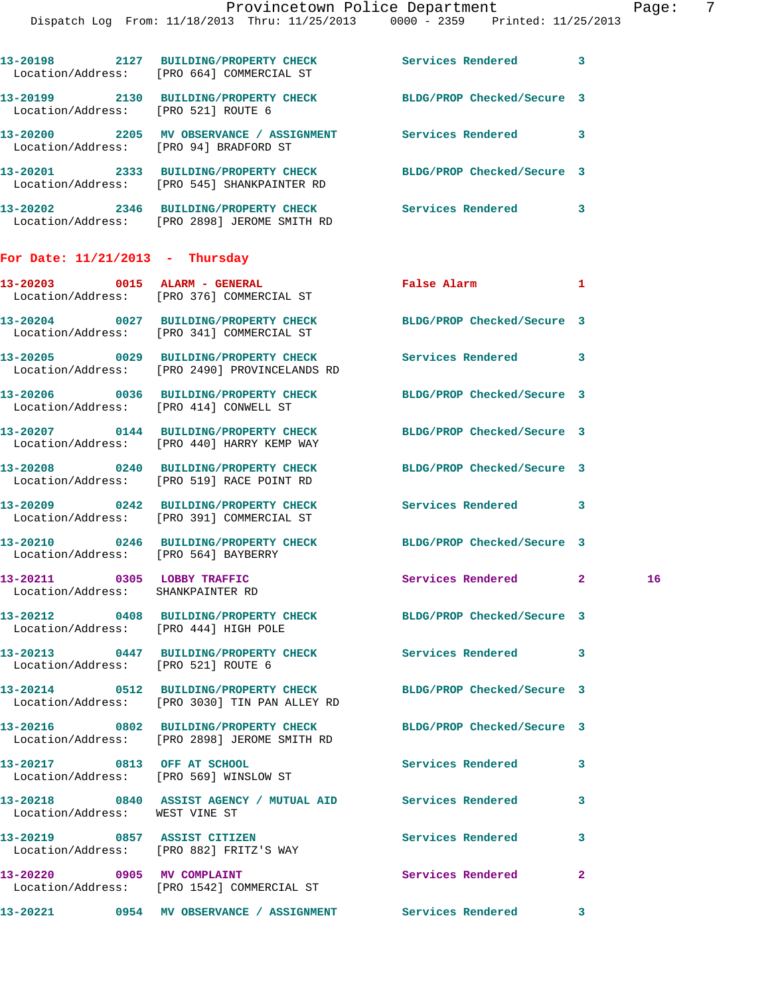|                                   | 13-20198 2127 BUILDING/PROPERTY CHECK<br>Location/Address: [PRO 664] COMMERCIAL ST                                | Services Rendered 3          |                |    |
|-----------------------------------|-------------------------------------------------------------------------------------------------------------------|------------------------------|----------------|----|
|                                   | 13-20199 2130 BUILDING/PROPERTY CHECK BLDG/PROP Checked/Secure 3<br>Location/Address: [PRO 521] ROUTE 6           |                              |                |    |
|                                   | 13-20200 2205 MV OBSERVANCE / ASSIGNMENT Services Rendered 3<br>Location/Address: [PRO 94] BRADFORD ST            |                              |                |    |
|                                   | 13-20201 2333 BUILDING/PROPERTY CHECK BLDG/PROP Checked/Secure 3<br>Location/Address: [PRO 545] SHANKPAINTER RD   |                              |                |    |
|                                   | 13-20202 2346 BUILDING/PROPERTY CHECK Services Rendered 3<br>Location/Address: [PRO 2898] JEROME SMITH RD         |                              |                |    |
| For Date: $11/21/2013$ - Thursday |                                                                                                                   |                              |                |    |
|                                   | 13-20203 0015 ALARM - GENERAL<br>Location/Address: [PRO 376] COMMERCIAL ST                                        | False Alarm <b>Example 2</b> | 1              |    |
|                                   | 13-20204 0027 BUILDING/PROPERTY CHECK<br>Location/Address: [PRO 341] COMMERCIAL ST                                | BLDG/PROP Checked/Secure 3   |                |    |
|                                   | 13-20205 0029 BUILDING/PROPERTY CHECK Services Rendered 3<br>Location/Address: [PRO 2490] PROVINCELANDS RD        |                              |                |    |
|                                   | 13-20206 0036 BUILDING/PROPERTY CHECK BLDG/PROP Checked/Secure 3<br>Location/Address: [PRO 414] CONWELL ST        |                              |                |    |
|                                   | 13-20207 0144 BUILDING/PROPERTY CHECK<br>Location/Address: [PRO 440] HARRY KEMP WAY                               | BLDG/PROP Checked/Secure 3   |                |    |
|                                   | 13-20208 0240 BUILDING/PROPERTY CHECK<br>Location/Address: [PRO 519] RACE POINT RD                                | BLDG/PROP Checked/Secure 3   |                |    |
|                                   | 13-20209 0242 BUILDING/PROPERTY CHECK<br>Location/Address: [PRO 391] COMMERCIAL ST                                | Services Rendered 3          |                |    |
|                                   | 13-20210 0246 BUILDING/PROPERTY CHECK<br>Location/Address: [PRO 564] BAYBERRY                                     | BLDG/PROP Checked/Secure 3   |                |    |
| 13-20211 0305 LOBBY TRAFFIC       | Location/Address: SHANKPAINTER RD                                                                                 | Services Rendered 2          |                | 16 |
|                                   | 13-20212 0408 BUILDING/PROPERTY CHECK BLDG/PROP Checked/Secure 3<br>Location/Address: [PRO 444] HIGH POLE         |                              |                |    |
|                                   | 13-20213 0447 BUILDING/PROPERTY CHECK Services Rendered 3<br>Location/Address: [PRO 521] ROUTE 6                  |                              |                |    |
|                                   | 13-20214 0512 BUILDING/PROPERTY CHECK BLDG/PROP Checked/Secure 3<br>Location/Address: [PRO 3030] TIN PAN ALLEY RD |                              |                |    |
|                                   | 13-20216 0802 BUILDING/PROPERTY CHECK BLDG/PROP Checked/Secure 3<br>Location/Address: [PRO 2898] JEROME SMITH RD  |                              |                |    |
| 13-20217 0813 OFF AT SCHOOL       | Location/Address: [PRO 569] WINSLOW ST                                                                            | Services Rendered 3          |                |    |
| Location/Address: WEST VINE ST    | 13-20218 0840 ASSIST AGENCY / MUTUAL AID Services Rendered                                                        |                              | 3              |    |
|                                   | 13-20219 0857 ASSIST CITIZEN<br>Location/Address: [PRO 882] FRITZ'S WAY                                           | Services Rendered            | 3              |    |
|                                   | 13-20220 0905 MV COMPLAINT<br>Location/Address: [PRO 1542] COMMERCIAL ST                                          | Services Rendered            | $\overline{2}$ |    |
|                                   | 13-20221 0954 MV OBSERVANCE / ASSIGNMENT Services Rendered                                                        |                              | 3              |    |
|                                   |                                                                                                                   |                              |                |    |
|                                   |                                                                                                                   |                              |                |    |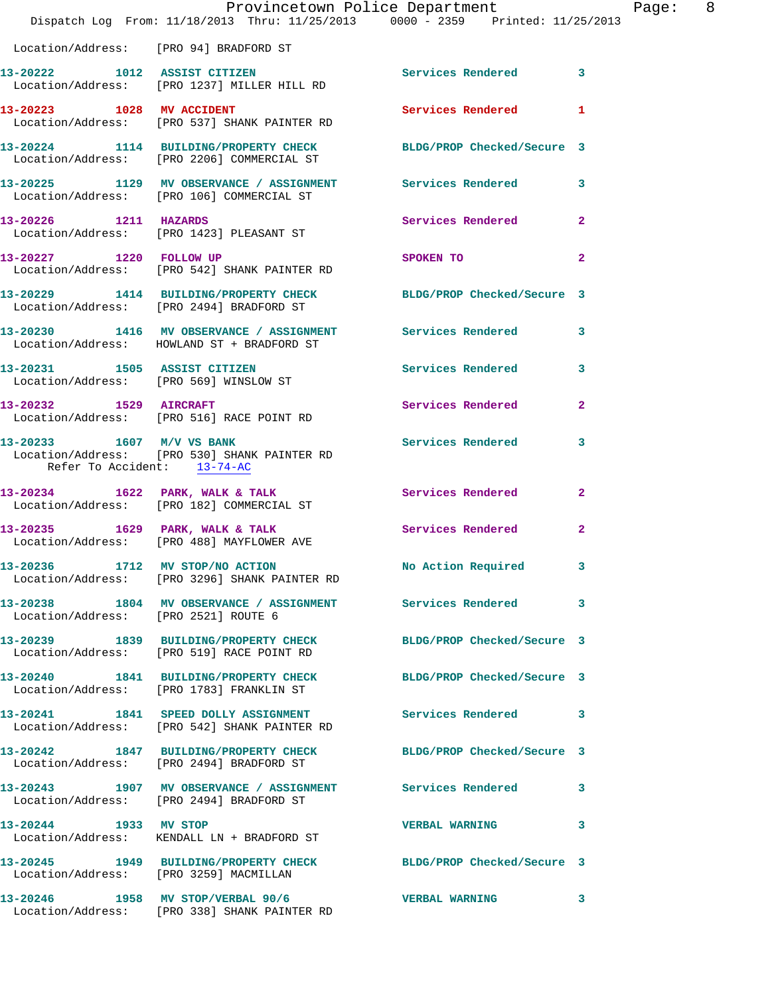|                                                          | Provincetown Police Department<br>Dispatch Log From: 11/18/2013 Thru: 11/25/2013 0000 - 2359 Printed: 11/25/2013 |                            |                |
|----------------------------------------------------------|------------------------------------------------------------------------------------------------------------------|----------------------------|----------------|
|                                                          | Location/Address: [PRO 94] BRADFORD ST                                                                           |                            |                |
|                                                          | 13-20222 1012 ASSIST CITIZEN<br>Location/Address: [PRO 1237] MILLER HILL RD                                      | Services Rendered 3        |                |
| 13-20223 1028 MV ACCIDENT                                | Location/Address: [PRO 537] SHANK PAINTER RD                                                                     | Services Rendered          | $\mathbf{1}$   |
|                                                          | 13-20224 1114 BUILDING/PROPERTY CHECK<br>Location/Address: [PRO 2206] COMMERCIAL ST                              | BLDG/PROP Checked/Secure 3 |                |
|                                                          | 13-20225 1129 MV OBSERVANCE / ASSIGNMENT Services Rendered<br>Location/Address: [PRO 106] COMMERCIAL ST          |                            | 3              |
| 13-20226 1211 HAZARDS                                    | Location/Address: [PRO 1423] PLEASANT ST                                                                         | Services Rendered          | $\overline{2}$ |
|                                                          | 13-20227 1220 FOLLOW UP<br>Location/Address: [PRO 542] SHANK PAINTER RD                                          | <b>SPOKEN TO</b>           | $\overline{2}$ |
|                                                          | 13-20229 1414 BUILDING/PROPERTY CHECK BLDG/PROP Checked/Secure 3<br>Location/Address: [PRO 2494] BRADFORD ST     |                            |                |
|                                                          | 13-20230 1416 MV OBSERVANCE / ASSIGNMENT Services Rendered<br>Location/Address: HOWLAND ST + BRADFORD ST         |                            | 3              |
|                                                          | 13-20231 1505 ASSIST CITIZEN<br>Location/Address: [PRO 569] WINSLOW ST                                           | Services Rendered          | 3              |
|                                                          | 13-20232 1529 AIRCRAFT<br>Location/Address: [PRO 516] RACE POINT RD                                              | Services Rendered          | $\mathbf{2}$   |
| 13-20233 1607 M/V VS BANK<br>Refer To Accident: 13-74-AC | Location/Address: [PRO 530] SHANK PAINTER RD                                                                     | Services Rendered          | 3              |
|                                                          | 13-20234 1622 PARK, WALK & TALK<br>Location/Address: [PRO 182] COMMERCIAL ST                                     | Services Rendered          | $\overline{2}$ |
|                                                          | $13-20235$ $1629$ PARK, WALK & TALK<br>Location/Address: [PRO 488] MAYFLOWER AVE                                 | Services Rendered          | $\mathbf{2}$   |
|                                                          | 13-20236 1712 MV STOP/NO ACTION<br>Location/Address: [PRO 3296] SHANK PAINTER RD                                 | No Action Required         | 3              |
| Location/Address: [PRO 2521] ROUTE 6                     | 13-20238 1804 MV OBSERVANCE / ASSIGNMENT Services Rendered                                                       |                            | $\mathbf{3}$   |
|                                                          | 13-20239 1839 BUILDING/PROPERTY CHECK<br>Location/Address: [PRO 519] RACE POINT RD                               | BLDG/PROP Checked/Secure 3 |                |
|                                                          | 13-20240 1841 BUILDING/PROPERTY CHECK<br>Location/Address: [PRO 1783] FRANKLIN ST                                | BLDG/PROP Checked/Secure 3 |                |
|                                                          | 13-20241 1841 SPEED DOLLY ASSIGNMENT<br>Location/Address: [PRO 542] SHANK PAINTER RD                             | Services Rendered          | 3              |
|                                                          | 13-20242 1847 BUILDING/PROPERTY CHECK<br>Location/Address: [PRO 2494] BRADFORD ST                                | BLDG/PROP Checked/Secure 3 |                |
|                                                          | 13-20243 1907 MV OBSERVANCE / ASSIGNMENT Services Rendered<br>Location/Address: [PRO 2494] BRADFORD ST           |                            | 3              |
| 13-20244 1933 MV STOP                                    | Location/Address: KENDALL LN + BRADFORD ST                                                                       | <b>VERBAL WARNING</b>      | 3              |
| Location/Address: [PRO 3259] MACMILLAN                   | 13-20245 1949 BUILDING/PROPERTY CHECK                                                                            | BLDG/PROP Checked/Secure 3 |                |
|                                                          | 13-20246 1958 MV STOP/VERBAL 90/6<br>Location/Address: [PRO 338] SHANK PAINTER RD                                | <b>VERBAL WARNING</b>      | 3              |

Page: 8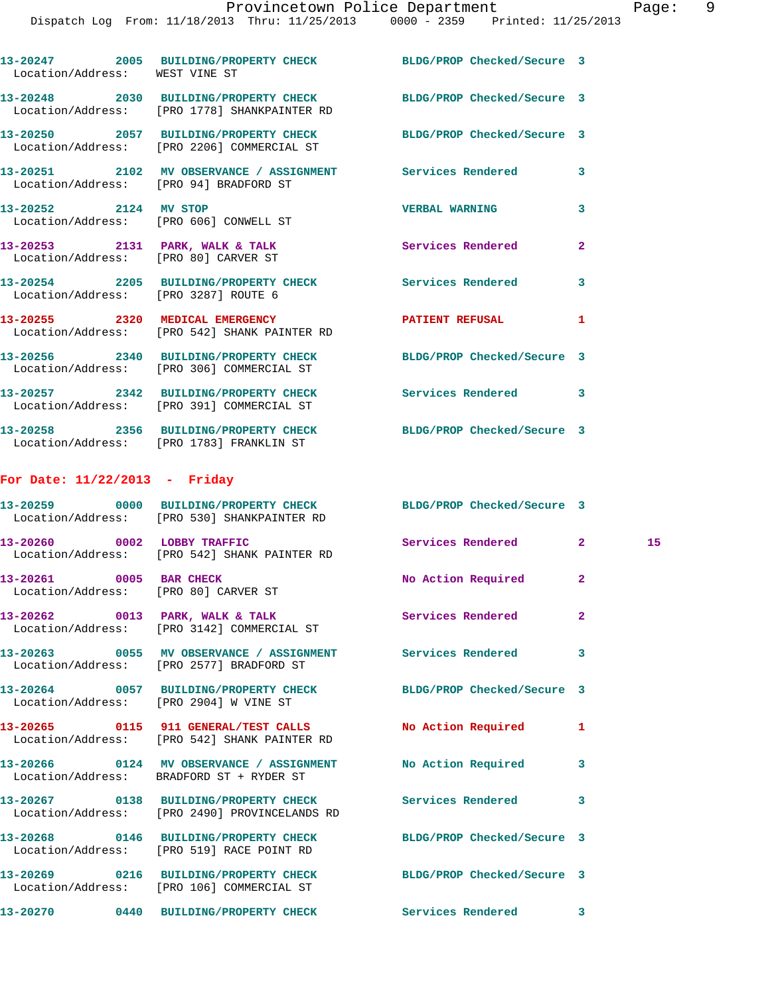Dispatch Log From: 11/18/2013 Thru: 11/25/2013 0000 - 2359 Printed: 11/25/2013

| Location/Address: WEST VINE ST                                          | 13-20247 2005 BUILDING/PROPERTY CHECK BLDG/PROP Checked/Secure 3                                               |                            |                |
|-------------------------------------------------------------------------|----------------------------------------------------------------------------------------------------------------|----------------------------|----------------|
|                                                                         | 13-20248 2030 BUILDING/PROPERTY CHECK<br>Location/Address: [PRO 1778] SHANKPAINTER RD                          | BLDG/PROP Checked/Secure 3 |                |
|                                                                         | 13-20250 2057 BUILDING/PROPERTY CHECK BLDG/PROP Checked/Secure 3<br>Location/Address: [PRO 2206] COMMERCIAL ST |                            |                |
| Location/Address: [PRO 94] BRADFORD ST                                  | 13-20251 2102 MV OBSERVANCE / ASSIGNMENT Services Rendered                                                     |                            | 3              |
| 13-20252 2124 MV STOP<br>Location/Address: [PRO 606] CONWELL ST         |                                                                                                                | <b>VERBAL WARNING</b>      | 3              |
| 13-20253 2131 PARK, WALK & TALK<br>Location/Address: [PRO 80] CARVER ST |                                                                                                                | <b>Services Rendered</b>   | $\overline{2}$ |
| Location/Address: [PRO 3287] ROUTE 6                                    | 13-20254 2205 BUILDING/PROPERTY CHECK Services Rendered                                                        |                            | $\mathbf{3}$   |
|                                                                         | 13-20255 2320 MEDICAL EMERGENCY<br>Location/Address: [PRO 542] SHANK PAINTER RD                                | <b>PATIENT REFUSAL</b>     | $\mathbf{1}$   |
| Location/Address:                                                       | 13-20256 2340 BUILDING/PROPERTY CHECK<br>[PRO 306] COMMERCIAL ST                                               | BLDG/PROP Checked/Secure 3 |                |
|                                                                         | 13-20257 2342 BUILDING/PROPERTY CHECK Services Rendered<br>Location/Address: [PRO 391] COMMERCIAL ST           |                            | $\mathbf{3}$   |
|                                                                         | 13-20258 2356 BUILDING/PROPERTY CHECK<br>Location/Address: [PRO 1783] FRANKLIN ST                              | BLDG/PROP Checked/Secure 3 |                |

## **For Date: 11/22/2013 - Friday**

|                                        | 13-20259 0000 BUILDING/PROPERTY CHECK BLDG/PROP Checked/Secure 3<br>Location/Address: [PRO 530] SHANKPAINTER RD |                    |                         |    |
|----------------------------------------|-----------------------------------------------------------------------------------------------------------------|--------------------|-------------------------|----|
|                                        | $13-20260$ 0002 LOBBY TRAFFIC<br>Location/Address: [PRO 542] SHANK PAINTER RD                                   | Services Rendered  | $2^{\circ}$             | 15 |
| 13-20261 0005 BAR CHECK                | Location/Address: [PRO 80] CARVER ST                                                                            | No Action Required | $\overline{2}$          |    |
|                                        | 13-20262 0013 PARK, WALK & TALK<br>Location/Address: [PRO 3142] COMMERCIAL ST                                   | Services Rendered  | $\overline{2}$          |    |
|                                        | Location/Address: [PRO 2577] BRADFORD ST                                                                        |                    | 3                       |    |
| Location/Address: [PRO 2904] W VINE ST | 13-20264 0057 BUILDING/PROPERTY CHECK BLDG/PROP Checked/Secure 3                                                |                    |                         |    |
|                                        | 13-20265 0115 911 GENERAL/TEST CALLS No Action Required<br>Location/Address: [PRO 542] SHANK PAINTER RD         |                    | 1                       |    |
|                                        | 13-20266   0124 MV OBSERVANCE / ASSIGNMENT   No Action Required<br>Location/Address: BRADFORD ST + RYDER ST     |                    | $\overline{\mathbf{3}}$ |    |
|                                        | Location/Address: [PRO 2490] PROVINCELANDS RD                                                                   |                    | 3                       |    |
|                                        | 13-20268 0146 BUILDING/PROPERTY CHECK BLDG/PROP Checked/Secure 3<br>Location/Address: [PRO 519] RACE POINT RD   |                    |                         |    |
|                                        | 13-20269 0216 BUILDING/PROPERTY CHECK BLDG/PROP Checked/Secure 3<br>Location/Address: [PRO 106] COMMERCIAL ST   |                    |                         |    |
|                                        | 13-20270 0440 BUILDING/PROPERTY CHECK Services Rendered                                                         |                    | 3                       |    |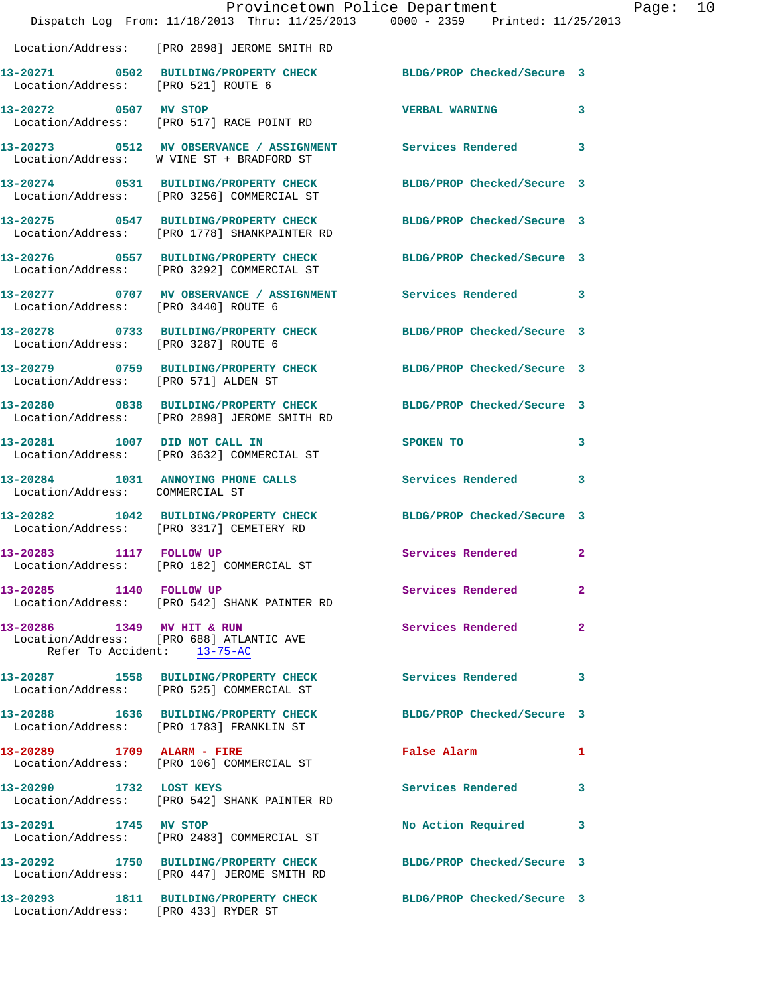|                                                           | Provincetown Police Department<br>Dispatch Log From: 11/18/2013 Thru: 11/25/2013 0000 - 2359 Printed: 11/25/2013 |                            |              |
|-----------------------------------------------------------|------------------------------------------------------------------------------------------------------------------|----------------------------|--------------|
|                                                           | Location/Address: [PRO 2898] JEROME SMITH RD                                                                     |                            |              |
| Location/Address: [PRO 521] ROUTE 6                       | 13-20271 0502 BUILDING/PROPERTY CHECK BLDG/PROP Checked/Secure 3                                                 |                            |              |
| 13-20272 0507 MV STOP                                     | Location/Address: [PRO 517] RACE POINT RD                                                                        | <b>VERBAL WARNING</b>      | 3            |
|                                                           | 13-20273 0512 MV OBSERVANCE / ASSIGNMENT<br>Location/Address: W VINE ST + BRADFORD ST                            | Services Rendered          | 3            |
|                                                           | 13-20274 0531 BUILDING/PROPERTY CHECK<br>Location/Address: [PRO 3256] COMMERCIAL ST                              | BLDG/PROP Checked/Secure 3 |              |
|                                                           | 13-20275 0547 BUILDING/PROPERTY CHECK<br>Location/Address: [PRO 1778] SHANKPAINTER RD                            | BLDG/PROP Checked/Secure 3 |              |
|                                                           | 13-20276 0557 BUILDING/PROPERTY CHECK<br>Location/Address: [PRO 3292] COMMERCIAL ST                              | BLDG/PROP Checked/Secure 3 |              |
| Location/Address: [PRO 3440] ROUTE 6                      | 13-20277 0707 MV OBSERVANCE / ASSIGNMENT Services Rendered                                                       |                            | 3            |
| Location/Address: [PRO 3287] ROUTE 6                      | 13-20278 0733 BUILDING/PROPERTY CHECK                                                                            | BLDG/PROP Checked/Secure 3 |              |
| Location/Address: [PRO 571] ALDEN ST                      | 13-20279 0759 BUILDING/PROPERTY CHECK BLDG/PROP Checked/Secure 3                                                 |                            |              |
|                                                           | 13-20280 0838 BUILDING/PROPERTY CHECK<br>Location/Address: [PRO 2898] JEROME SMITH RD                            | BLDG/PROP Checked/Secure 3 |              |
| 13-20281 1007 DID NOT CALL IN                             | Location/Address: [PRO 3632] COMMERCIAL ST                                                                       | SPOKEN TO                  | 3            |
| Location/Address: COMMERCIAL ST                           | 13-20284 1031 ANNOYING PHONE CALLS                                                                               | Services Rendered          | 3            |
|                                                           | 13-20282 1042 BUILDING/PROPERTY CHECK<br>Location/Address: [PRO 3317] CEMETERY RD                                | BLDG/PROP Checked/Secure 3 |              |
| 13-20283 1117 FOLLOW UP                                   | Location/Address: [PRO 182] COMMERCIAL ST                                                                        | Services Rendered          | $\mathbf{2}$ |
| 13-20285 1140 FOLLOW UP                                   | Location/Address: [PRO 542] SHANK PAINTER RD                                                                     | Services Rendered          | $\mathbf{2}$ |
| 13-20286 1349 MV HIT & RUN<br>Refer To Accident: 13-75-AC | Location/Address: [PRO 688] ATLANTIC AVE                                                                         | <b>Services Rendered</b>   | $\mathbf{2}$ |
|                                                           | 13-20287 1558 BUILDING/PROPERTY CHECK<br>Location/Address: [PRO 525] COMMERCIAL ST                               | Services Rendered          | 3            |
|                                                           | 13-20288 1636 BUILDING/PROPERTY CHECK<br>Location/Address: [PRO 1783] FRANKLIN ST                                | BLDG/PROP Checked/Secure 3 |              |
| 13-20289 1709 ALARM - FIRE                                | Location/Address: [PRO 106] COMMERCIAL ST                                                                        | False Alarm                | 1            |
|                                                           | 13-20290 1732 LOST KEYS<br>Location/Address: [PRO 542] SHANK PAINTER RD                                          | Services Rendered          | 3            |
| 13-20291 1745 MV STOP                                     | Location/Address: [PRO 2483] COMMERCIAL ST                                                                       | No Action Required         | 3            |
|                                                           | 13-20292 1750 BUILDING/PROPERTY CHECK<br>Location/Address: [PRO 447] JEROME SMITH RD                             | BLDG/PROP Checked/Secure 3 |              |
| Location/Address: [PRO 433] RYDER ST                      | 13-20293 1811 BUILDING/PROPERTY CHECK                                                                            | BLDG/PROP Checked/Secure 3 |              |

Page: 10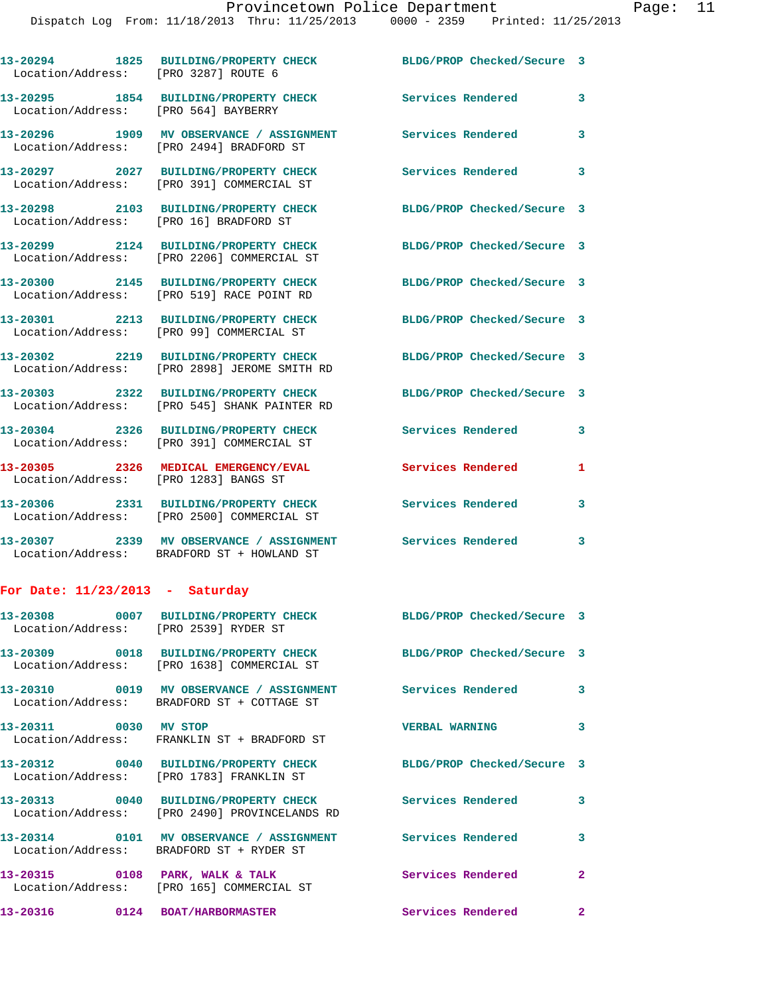| Location/Address: [PRO 3287] ROUTE 6   | 13-20294 1825 BUILDING/PROPERTY CHECK                                                  | BLDG/PROP Checked/Secure 3                                       |              |
|----------------------------------------|----------------------------------------------------------------------------------------|------------------------------------------------------------------|--------------|
| Location/Address: [PRO 564] BAYBERRY   |                                                                                        | 13-20295 1854 BUILDING/PROPERTY CHECK Services Rendered          | 3            |
|                                        | 13-20296 1909 MV OBSERVANCE / ASSIGNMENT<br>Location/Address: [PRO 2494] BRADFORD ST   | <b>Services Rendered</b>                                         | 3            |
|                                        | 13-20297 2027 BUILDING/PROPERTY CHECK<br>Location/Address: [PRO 391] COMMERCIAL ST     | <b>Services Rendered</b>                                         | 3            |
| Location/Address: [PRO 16] BRADFORD ST | 13-20298 2103 BUILDING/PROPERTY CHECK                                                  | BLDG/PROP Checked/Secure 3                                       |              |
|                                        | 13-20299 2124 BUILDING/PROPERTY CHECK<br>Location/Address: [PRO 2206] COMMERCIAL ST    | BLDG/PROP Checked/Secure 3                                       |              |
|                                        | 13-20300 2145 BUILDING/PROPERTY CHECK<br>Location/Address: [PRO 519] RACE POINT RD     | BLDG/PROP Checked/Secure 3                                       |              |
|                                        | 13-20301 2213 BUILDING/PROPERTY CHECK<br>Location/Address: [PRO 99] COMMERCIAL ST      | BLDG/PROP Checked/Secure 3                                       |              |
|                                        | 13-20302 2219 BUILDING/PROPERTY CHECK<br>Location/Address: [PRO 2898] JEROME SMITH RD  | BLDG/PROP Checked/Secure 3                                       |              |
|                                        | 13-20303 2322 BUILDING/PROPERTY CHECK<br>Location/Address: [PRO 545] SHANK PAINTER RD  | BLDG/PROP Checked/Secure 3                                       |              |
| Location/Address:                      | 13-20304 2326 BUILDING/PROPERTY CHECK<br>[PRO 391] COMMERCIAL ST                       | <b>Services Rendered</b>                                         | 3            |
| Location/Address:                      | 13-20305 2326 MEDICAL EMERGENCY/EVAL<br>[PRO 1283] BANGS ST                            | <b>Services Rendered</b>                                         | 1            |
|                                        | 13-20306 2331 BUILDING/PROPERTY CHECK<br>Location/Address: [PRO 2500] COMMERCIAL ST    | Services Rendered                                                | 3            |
|                                        | 13-20307 2339 MV OBSERVANCE / ASSIGNMENT<br>Location/Address: BRADFORD ST + HOWLAND ST | <b>Services Rendered</b>                                         | $\mathbf{3}$ |
| For Date: $11/23/2013$ - Saturday      |                                                                                        |                                                                  |              |
|                                        |                                                                                        | 13-20308 0007 BUILDING/PROPERTY CHECK BLDG/PROP Checked/Secure 3 |              |

| Location/Address: [PRO 2539] RYDER ST |                                                                                         |                            |                |
|---------------------------------------|-----------------------------------------------------------------------------------------|----------------------------|----------------|
|                                       | 13-20309 0018 BUILDING/PROPERTY CHECK<br>Location/Address: [PRO 1638] COMMERCIAL ST     | BLDG/PROP Checked/Secure 3 |                |
|                                       | Location/Address: BRADFORD ST + COTTAGE ST                                              |                            | $\mathbf{3}$   |
| 13-20311 0030 MV STOP                 | Location/Address: FRANKLIN ST + BRADFORD ST                                             | <b>VERBAL WARNING</b>      | $\mathbf{3}$   |
|                                       | 13-20312 0040 BUILDING/PROPERTY CHECK<br>Location/Address: [PRO 1783] FRANKLIN ST       | BLDG/PROP Checked/Secure 3 |                |
|                                       | 13-20313  0040 BUILDING/PROPERTY CHECK<br>Location/Address: [PRO 2490] PROVINCELANDS RD | <b>Services Rendered</b>   | $\mathbf{3}$   |
|                                       | Location/Address: BRADFORD ST + RYDER ST                                                |                            | $\mathbf{3}$   |
|                                       | 13-20315 0108 PARK, WALK & TALK<br>Location/Address: [PRO 165] COMMERCIAL ST            | Services Rendered          | $\overline{2}$ |
| 13-20316                              | 0124 BOAT/HARBORMASTER                                                                  | Services Rendered          | $\overline{2}$ |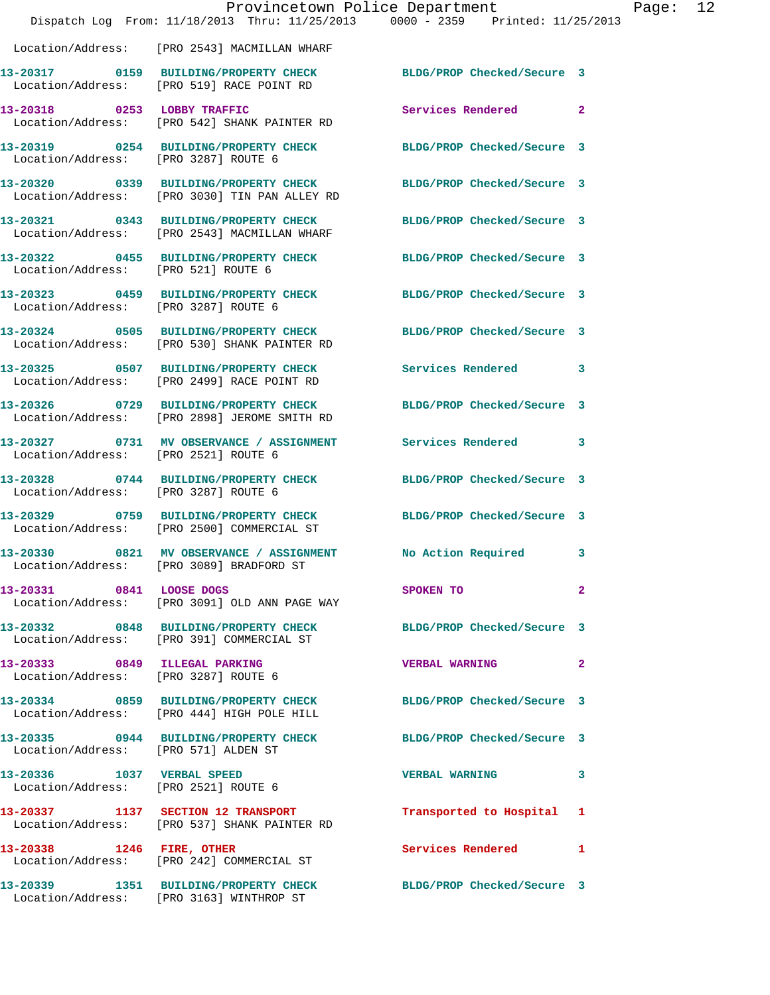|                                                                       | Provincetown Police Department                                                                 |                            |              |
|-----------------------------------------------------------------------|------------------------------------------------------------------------------------------------|----------------------------|--------------|
|                                                                       | Dispatch Log From: 11/18/2013 Thru: 11/25/2013 0000 - 2359 Printed: 11/25/2013                 |                            |              |
|                                                                       | Location/Address: [PRO 2543] MACMILLAN WHARF                                                   |                            |              |
|                                                                       | 13-20317 0159 BUILDING/PROPERTY CHECK<br>Location/Address: [PRO 519] RACE POINT RD             | BLDG/PROP Checked/Secure 3 |              |
|                                                                       | 13-20318 0253 LOBBY TRAFFIC<br>Location/Address: [PRO 542] SHANK PAINTER RD                    | Services Rendered          | $\mathbf{2}$ |
| Location/Address: [PRO 3287] ROUTE 6                                  | 13-20319 0254 BUILDING/PROPERTY CHECK                                                          | BLDG/PROP Checked/Secure 3 |              |
|                                                                       | 13-20320 0339 BUILDING/PROPERTY CHECK<br>Location/Address: [PRO 3030] TIN PAN ALLEY RD         | BLDG/PROP Checked/Secure 3 |              |
|                                                                       | 13-20321 0343 BUILDING/PROPERTY CHECK<br>Location/Address: [PRO 2543] MACMILLAN WHARF          | BLDG/PROP Checked/Secure 3 |              |
| Location/Address: [PRO 521] ROUTE 6                                   | 13-20322 0455 BUILDING/PROPERTY CHECK                                                          | BLDG/PROP Checked/Secure 3 |              |
| Location/Address: [PRO 3287] ROUTE 6                                  | 13-20323 0459 BUILDING/PROPERTY CHECK                                                          | BLDG/PROP Checked/Secure 3 |              |
|                                                                       | 13-20324 0505 BUILDING/PROPERTY CHECK<br>Location/Address: [PRO 530] SHANK PAINTER RD          | BLDG/PROP Checked/Secure 3 |              |
|                                                                       | 13-20325 0507 BUILDING/PROPERTY CHECK<br>Location/Address: [PRO 2499] RACE POINT RD            | <b>Services Rendered</b>   | 3            |
|                                                                       | 13-20326 0729 BUILDING/PROPERTY CHECK<br>Location/Address: [PRO 2898] JEROME SMITH RD          | BLDG/PROP Checked/Secure 3 |              |
| Location/Address: [PRO 2521] ROUTE 6                                  | 13-20327 0731 MV OBSERVANCE / ASSIGNMENT Services Rendered                                     |                            | 3            |
| 13-20328<br>Location/Address: [PRO 3287] ROUTE 6                      | 0744 BUILDING/PROPERTY CHECK                                                                   | BLDG/PROP Checked/Secure 3 |              |
|                                                                       | 13-20329 0759 BUILDING/PROPERTY CHECK<br>Location/Address: [PRO 2500] COMMERCIAL ST            | BLDG/PROP Checked/Secure 3 |              |
| 13-20330                                                              | 0821 MV OBSERVANCE / ASSIGNMENT No Action Required<br>Location/Address: [PRO 3089] BRADFORD ST |                            | 3            |
| 13-20331 0841 LOOSE DOGS                                              | Location/Address: [PRO 3091] OLD ANN PAGE WAY                                                  | SPOKEN TO                  | $\mathbf{2}$ |
|                                                                       | 13-20332 0848 BUILDING/PROPERTY CHECK<br>Location/Address: [PRO 391] COMMERCIAL ST             | BLDG/PROP Checked/Secure 3 |              |
| 13-20333 0849 ILLEGAL PARKING<br>Location/Address: [PRO 3287] ROUTE 6 |                                                                                                | <b>VERBAL WARNING</b>      | $\mathbf{2}$ |
|                                                                       | 13-20334 0859 BUILDING/PROPERTY CHECK<br>Location/Address: [PRO 444] HIGH POLE HILL            | BLDG/PROP Checked/Secure 3 |              |
| Location/Address: [PRO 571] ALDEN ST                                  | 13-20335 0944 BUILDING/PROPERTY CHECK                                                          | BLDG/PROP Checked/Secure 3 |              |
| 13-20336 1037 VERBAL SPEED                                            | Location/Address: [PRO 2521] ROUTE 6                                                           | <b>VERBAL WARNING</b>      | 3            |
|                                                                       | 13-20337 1137 SECTION 12 TRANSPORT<br>Location/Address: [PRO 537] SHANK PAINTER RD             | Transported to Hospital    | 1            |
| 13-20338 1246 FIRE, OTHER                                             | Location/Address: [PRO 242] COMMERCIAL ST                                                      | <b>Services Rendered</b>   | 1            |
|                                                                       | 13-20339 1351 BUILDING/PROPERTY CHECK<br>Location/Address: [PRO 3163] WINTHROP ST              | BLDG/PROP Checked/Secure 3 |              |

Page:  $12$ <br> $13$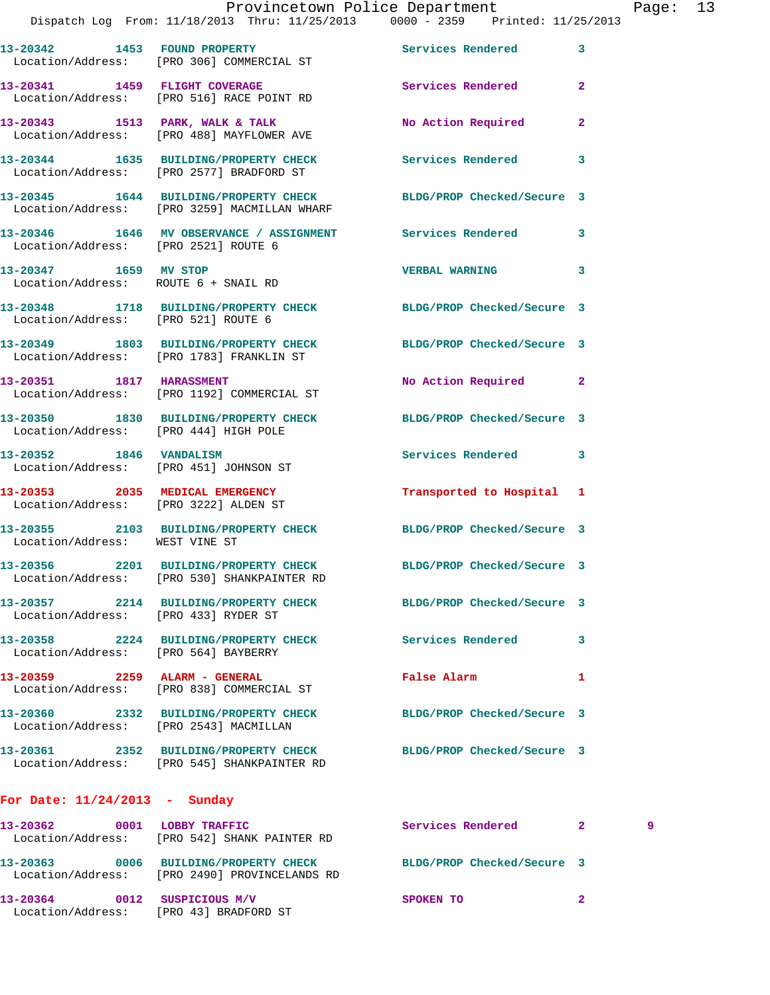|                                        | Dispatch Log From: 11/18/2013 Thru: 11/25/2013 0000 - 2359 Printed: 11/25/2013                                   | Provincetown Police Department |   | Page: 13 |  |
|----------------------------------------|------------------------------------------------------------------------------------------------------------------|--------------------------------|---|----------|--|
|                                        |                                                                                                                  |                                |   |          |  |
|                                        | 13-20342 1453 FOUND PROPERTY<br>Location/Address: [PRO 306] COMMERCIAL ST                                        | Services Rendered 3            |   |          |  |
|                                        | 13-20341 1459 FLIGHT COVERAGE<br>Location/Address: [PRO 516] RACE POINT RD                                       | Services Rendered 2            |   |          |  |
|                                        | 13-20343 1513 PARK, WALK & TALK<br>Location/Address: [PRO 488] MAYFLOWER AVE                                     | No Action Required 2           |   |          |  |
|                                        | 13-20344 1635 BUILDING/PROPERTY CHECK Services Rendered 3<br>Location/Address: [PRO 2577] BRADFORD ST            |                                |   |          |  |
|                                        | 13-20345 1644 BUILDING/PROPERTY CHECK BLDG/PROP Checked/Secure 3<br>Location/Address: [PRO 3259] MACMILLAN WHARF |                                |   |          |  |
| Location/Address: [PRO 2521] ROUTE 6   | 13-20346 1646 MV OBSERVANCE / ASSIGNMENT Services Rendered 3                                                     |                                |   |          |  |
| 13-20347 1659 MV STOP                  | Location/Address: ROUTE 6 + SNAIL RD                                                                             | VERBAL WARNING 3               |   |          |  |
| Location/Address: [PRO 521] ROUTE 6    | 13-20348 1718 BUILDING/PROPERTY CHECK BLDG/PROP Checked/Secure 3                                                 |                                |   |          |  |
|                                        | 13-20349 1803 BUILDING/PROPERTY CHECK BLDG/PROP Checked/Secure 3<br>Location/Address: [PRO 1783] FRANKLIN ST     |                                |   |          |  |
|                                        | 13-20351 1817 HARASSMENT<br>Location/Address: [PRO 1192] COMMERCIAL ST                                           | No Action Required 2           |   |          |  |
| Location/Address: [PRO 444] HIGH POLE  | 13-20350 1830 BUILDING/PROPERTY CHECK BLDG/PROP Checked/Secure 3                                                 |                                |   |          |  |
| Location/Address: [PRO 451] JOHNSON ST | 13-20352 1846 VANDALISM                                                                                          | Services Rendered 3            |   |          |  |
|                                        | 13-20353 2035 MEDICAL EMERGENCY<br>Location/Address: [PRO 3222] ALDEN ST                                         | Transported to Hospital 1      |   |          |  |
| Location/Address: WEST VINE ST         | 13-20355 2103 BUILDING/PROPERTY CHECK BLDG/PROP Checked/Secure 3                                                 |                                |   |          |  |
|                                        | 13-20356 2201 BUILDING/PROPERTY CHECK<br>Location/Address: [PRO 530] SHANKPAINTER RD                             | BLDG/PROP Checked/Secure 3     |   |          |  |
| Location/Address: [PRO 433] RYDER ST   | 13-20357 2214 BUILDING/PROPERTY CHECK BLDG/PROP Checked/Secure 3                                                 |                                |   |          |  |
| Location/Address: [PRO 564] BAYBERRY   | 13-20358 2224 BUILDING/PROPERTY CHECK                                                                            | Services Rendered 3            |   |          |  |
|                                        | 13-20359   2259   ALARM - GENERAL<br>Location/Address: [PRO 838] COMMERCIAL ST                                   | False Alarm                    | 1 |          |  |
| Location/Address: [PRO 2543] MACMILLAN | 13-20360 2332 BUILDING/PROPERTY CHECK BLDG/PROP Checked/Secure 3                                                 |                                |   |          |  |
|                                        | 13-20361 2352 BUILDING/PROPERTY CHECK BLDG/PROP Checked/Secure 3<br>Location/Address: [PRO 545] SHANKPAINTER RD  |                                |   |          |  |
| For Date: $11/24/2013$ - Sunday        |                                                                                                                  |                                |   |          |  |

| 13-20362 | 0001 | LOBBY TRAFFIC<br>Location/Address: [PRO 542] SHANK PAINTER RD                   | Services Rendered          |   |  |
|----------|------|---------------------------------------------------------------------------------|----------------------------|---|--|
| 13-20363 | 0006 | <b>BUILDING/PROPERTY CHECK</b><br>Location/Address: [PRO 2490] PROVINCELANDS RD | BLDG/PROP Checked/Secure 3 |   |  |
| 13-20364 | 0012 | SUSPICIOUS M/V<br>Location/Address: [PRO 43] BRADFORD ST                        | SPOKEN TO                  | 2 |  |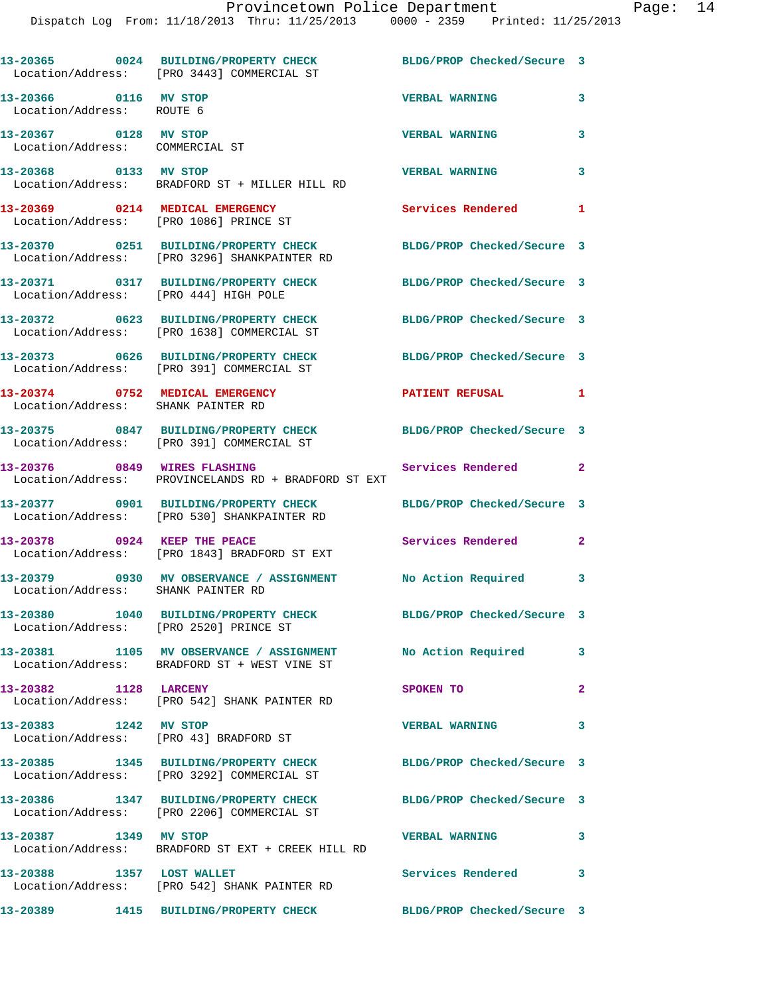|                                                                       | 13-20365 0024 BUILDING/PROPERTY CHECK<br>Location/Address: [PRO 3443] COMMERCIAL ST                           | BLDG/PROP Checked/Secure 3        |                |
|-----------------------------------------------------------------------|---------------------------------------------------------------------------------------------------------------|-----------------------------------|----------------|
| 13-20366 0116 MV STOP<br>Location/Address: ROUTE 6                    |                                                                                                               | <b>VERBAL WARNING</b>             | 3              |
| 13-20367 0128 MV STOP<br>Location/Address: COMMERCIAL ST              |                                                                                                               | <b>VERBAL WARNING</b>             | 3              |
| 13-20368 0133 MV STOP                                                 | Location/Address: BRADFORD ST + MILLER HILL RD                                                                | <b>VERBAL WARNING</b>             | 3              |
|                                                                       | 13-20369 0214 MEDICAL EMERGENCY<br>Location/Address: [PRO 1086] PRINCE ST                                     | Services Rendered 1               |                |
|                                                                       | 13-20370 0251 BUILDING/PROPERTY CHECK<br>Location/Address: [PRO 3296] SHANKPAINTER RD                         | BLDG/PROP Checked/Secure 3        |                |
| Location/Address: [PRO 444] HIGH POLE                                 | 13-20371 0317 BUILDING/PROPERTY CHECK                                                                         | BLDG/PROP Checked/Secure 3        |                |
|                                                                       | 13-20372 0623 BUILDING/PROPERTY CHECK<br>Location/Address: [PRO 1638] COMMERCIAL ST                           | BLDG/PROP Checked/Secure 3        |                |
|                                                                       | 13-20373 0626 BUILDING/PROPERTY CHECK<br>Location/Address: [PRO 391] COMMERCIAL ST                            | BLDG/PROP Checked/Secure 3        |                |
| 13-20374 0752 MEDICAL EMERGENCY<br>Location/Address: SHANK PAINTER RD |                                                                                                               | PATIENT REFUSAL                   |                |
|                                                                       | 13-20375 0847 BUILDING/PROPERTY CHECK BLDG/PROP Checked/Secure 3<br>Location/Address: [PRO 391] COMMERCIAL ST |                                   |                |
| 13-20376 0849 WIRES FLASHING                                          | Location/Address: PROVINCELANDS RD + BRADFORD ST EXT                                                          | Services Rendered 2               |                |
|                                                                       | 13-20377 0901 BUILDING/PROPERTY CHECK<br>Location/Address: [PRO 530] SHANKPAINTER RD                          | BLDG/PROP Checked/Secure 3        |                |
| 13-20378 0924 KEEP THE PEACE                                          | Location/Address: [PRO 1843] BRADFORD ST EXT                                                                  | Services Rendered                 | $\mathbf{2}$   |
| Location/Address: SHANK PAINTER RD                                    | 13-20379 0930 MV OBSERVANCE / ASSIGNMENT No Action Required 3                                                 |                                   |                |
| Location/Address: [PRO 2520] PRINCE ST                                | 13-20380 1040 BUILDING/PROPERTY CHECK                                                                         | BLDG/PROP Checked/Secure 3        |                |
|                                                                       | 13-20381 1105 MV OBSERVANCE / ASSIGNMENT No Action Required<br>Location/Address: BRADFORD ST + WEST VINE ST   |                                   | $\mathbf{3}$   |
| 13-20382 1128 LARCENY                                                 | Location/Address: [PRO 542] SHANK PAINTER RD                                                                  | SPOKEN TO                         | $\overline{a}$ |
| 13-20383 1242 MV STOP                                                 | Location/Address: [PRO 43] BRADFORD ST                                                                        | <b>VERBAL WARNING</b>             | 3              |
|                                                                       | 13-20385 1345 BUILDING/PROPERTY CHECK<br>Location/Address: [PRO 3292] COMMERCIAL ST                           | BLDG/PROP Checked/Secure 3        |                |
|                                                                       | 13-20386 1347 BUILDING/PROPERTY CHECK<br>Location/Address: [PRO 2206] COMMERCIAL ST                           | BLDG/PROP Checked/Secure 3        |                |
| 13-20387 1349 MV STOP                                                 | Location/Address: BRADFORD ST EXT + CREEK HILL RD                                                             | $\sim$ 3<br><b>VERBAL WARNING</b> |                |
| 13-20388 1357 LOST WALLET                                             | Location/Address: [PRO 542] SHANK PAINTER RD                                                                  | Services Rendered                 | 3              |
|                                                                       | 13-20389 1415 BUILDING/PROPERTY CHECK                                                                         | BLDG/PROP Checked/Secure 3        |                |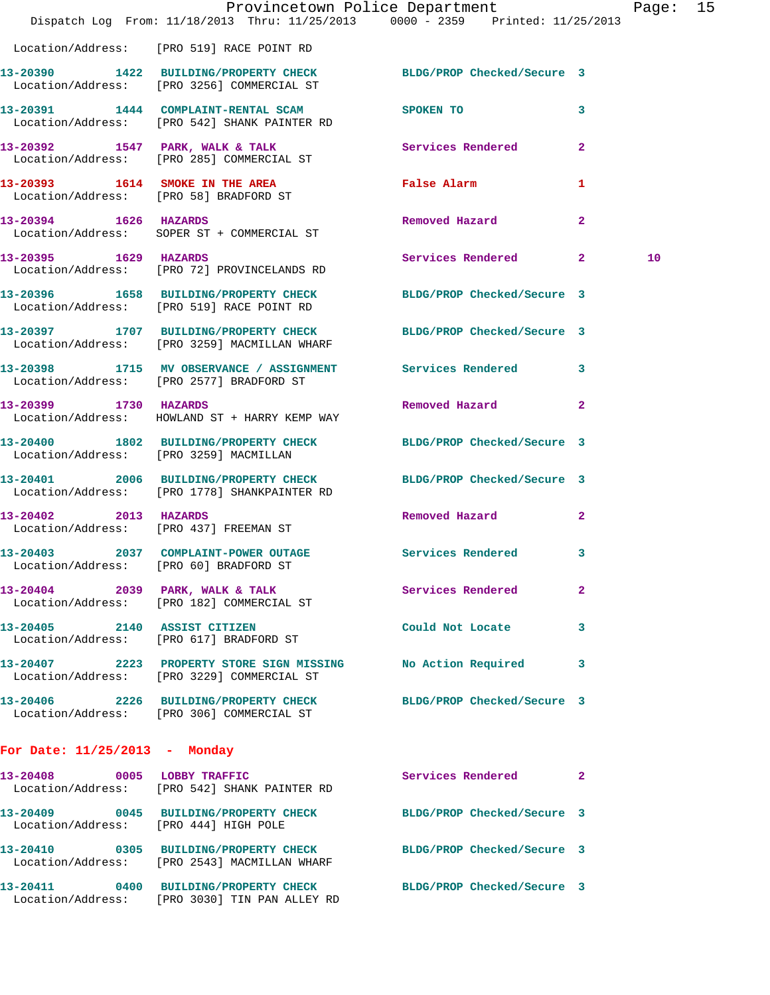|                                        | Dispatch Log From: 11/18/2013 Thru: 11/25/2013 0000 - 2359 Printed: 11/25/2013                                   | Provincetown Police Department                                                                                 |              | Page: 15 |  |
|----------------------------------------|------------------------------------------------------------------------------------------------------------------|----------------------------------------------------------------------------------------------------------------|--------------|----------|--|
|                                        | Location/Address: [PRO 519] RACE POINT RD                                                                        |                                                                                                                |              |          |  |
|                                        | 13-20390 1422 BUILDING/PROPERTY CHECK BLDG/PROP Checked/Secure 3                                                 |                                                                                                                |              |          |  |
|                                        | Location/Address: [PRO 3256] COMMERCIAL ST                                                                       |                                                                                                                |              |          |  |
|                                        | 13-20391 1444 COMPLAINT-RENTAL SCAM SPOKEN TO<br>Location/Address: [PRO 542] SHANK PAINTER RD                    |                                                                                                                | 3            |          |  |
|                                        | 13-20392 1547 PARK, WALK & TALK 1997 Services Rendered 2<br>Location/Address: [PRO 285] COMMERCIAL ST            |                                                                                                                |              |          |  |
|                                        | 13-20393 1614 SMOKE IN THE AREA<br>Location/Address: [PRO 58] BRADFORD ST                                        | False Alarm and the state of the state of the state of the state of the state of the state of the state of the | 1            |          |  |
| 13-20394 1626 HAZARDS                  | Location/Address: SOPER ST + COMMERCIAL ST                                                                       | Removed Hazard                                                                                                 | $\mathbf{2}$ |          |  |
|                                        | 13-20395   1629   HAZARDS<br>Location/Address: [PRO 72] PROVINCELANDS RD                                         | Services Rendered 2                                                                                            |              | 10       |  |
|                                        | 13-20396 1658 BUILDING/PROPERTY CHECK BLDG/PROP Checked/Secure 3<br>Location/Address: [PRO 519] RACE POINT RD    |                                                                                                                |              |          |  |
|                                        | 13-20397 1707 BUILDING/PROPERTY CHECK BLDG/PROP Checked/Secure 3<br>Location/Address: [PRO 3259] MACMILLAN WHARF |                                                                                                                |              |          |  |
|                                        | 13-20398 1715 MV OBSERVANCE / ASSIGNMENT Services Rendered 3<br>Location/Address: [PRO 2577] BRADFORD ST         |                                                                                                                |              |          |  |
| 13-20399 1730 HAZARDS                  | Location/Address: HOWLAND ST + HARRY KEMP WAY                                                                    | Removed Hazard 2                                                                                               |              |          |  |
| Location/Address: [PRO 3259] MACMILLAN | 13-20400 1802 BUILDING/PROPERTY CHECK BLDG/PROP Checked/Secure 3                                                 |                                                                                                                |              |          |  |
|                                        | 13-20401 2006 BUILDING/PROPERTY CHECK BLDG/PROP Checked/Secure 3<br>Location/Address: [PRO 1778] SHANKPAINTER RD |                                                                                                                |              |          |  |
| 13-20402 2013 HAZARDS                  | Location/Address: [PRO 437] FREEMAN ST                                                                           | Removed Hazard                                                                                                 | $\mathbf{2}$ |          |  |
| Location/Address: [PRO 60] BRADFORD ST | 13-20403 2037 COMPLAINT-POWER OUTAGE Services Rendered 3                                                         |                                                                                                                |              |          |  |
|                                        | 13-20404 2039 PARK, WALK & TALK<br>Location/Address: [PRO 182] COMMERCIAL ST                                     | <b>Services Rendered</b>                                                                                       | 2            |          |  |
|                                        | 13-20405 2140 ASSIST CITIZEN<br>Location/Address: [PRO 617] BRADFORD ST                                          | Could Not Locate                                                                                               | 3            |          |  |
|                                        | 13-20407 2223 PROPERTY STORE SIGN MISSING No Action Required<br>Location/Address: [PRO 3229] COMMERCIAL ST       |                                                                                                                | 3            |          |  |
|                                        | 13-20406 2226 BUILDING/PROPERTY CHECK BLDG/PROP Checked/Secure 3<br>Location/Address: [PRO 306] COMMERCIAL ST    |                                                                                                                |              |          |  |
| For Date: $11/25/2013$ - Monday        |                                                                                                                  |                                                                                                                |              |          |  |
|                                        | 13-20408 0005 LOBBY TRAFFIC<br>Location/Address: [PRO 542] SHANK PAINTER RD                                      | Services Rendered 2                                                                                            |              |          |  |
| Location/Address: [PRO 444] HIGH POLE  | 13-20409 0045 BUILDING/PROPERTY CHECK BLDG/PROP Checked/Secure 3                                                 |                                                                                                                |              |          |  |
|                                        | 13-20410 0305 BUILDING/PROPERTY CHECK BLDG/PROP Checked/Secure 3<br>Location/Address: [PRO 2543] MACMILLAN WHARF |                                                                                                                |              |          |  |
|                                        | 13-20411 0400 BUILDING/PROPERTY CHECK BLDG/PROP Checked/Secure 3                                                 |                                                                                                                |              |          |  |

Location/Address: [PRO 3030] TIN PAN ALLEY RD